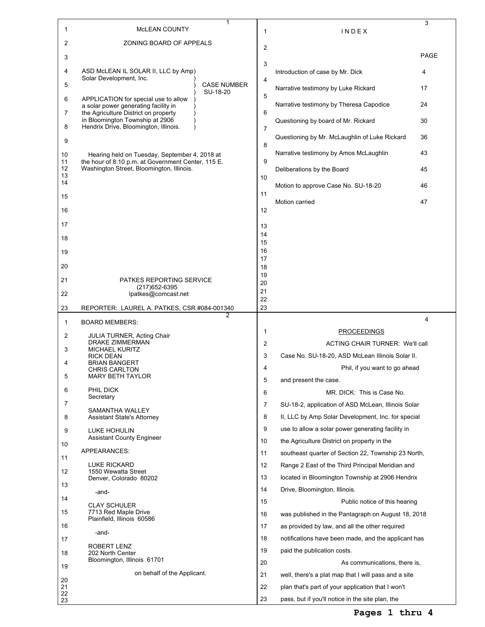|                |                                                                                                                  | 1                              |                |                                                      | 3              |
|----------------|------------------------------------------------------------------------------------------------------------------|--------------------------------|----------------|------------------------------------------------------|----------------|
| 1              | <b>MCLEAN COUNTY</b>                                                                                             |                                | 1              | INDEX                                                |                |
| 2              | ZONING BOARD OF APPEALS                                                                                          |                                | $\overline{2}$ |                                                      | PAGE           |
| 3              |                                                                                                                  |                                | 3              |                                                      |                |
| 4              | ASD McLEAN IL SOLAR II, LLC by Amp)<br>Solar Development, Inc.                                                   |                                | 4              | Introduction of case by Mr. Dick                     | 4              |
| 5              |                                                                                                                  | <b>CASE NUMBER</b><br>SU-18-20 |                | Narrative testimony by Luke Rickard                  | 17             |
| 6              | APPLICATION for special use to allow<br>a solar power generating facility in                                     |                                | 5              | Narrative testimony by Theresa Capodice              | 24             |
| 7              | the Agriculture District on property<br>in Bloomington Township at 2906<br>Hendrix Drive, Bloomington, Illinois. |                                | 6              | Questioning by board of Mr. Rickard                  | 30             |
| 8<br>9         |                                                                                                                  |                                | 7              | Questioning by Mr. McLaughlin of Luke Rickard        | 36             |
| 10             | Hearing held on Tuesday, September 4, 2018 at                                                                    |                                | 8              | Narrative testimony by Amos McLaughlin               | 43             |
| 11<br>12       | the hour of 8:10 p.m. at Government Center, 115 E.<br>Washington Street, Bloomington, Illinois.                  |                                | 9              | Deliberations by the Board                           | 45             |
| 13<br>14       |                                                                                                                  |                                | 10             | Motion to approve Case No. SU-18-20                  | 46             |
| 15             |                                                                                                                  |                                | 11             | Motion carried                                       | 47             |
| 16             |                                                                                                                  |                                | 12             |                                                      |                |
| 17             |                                                                                                                  |                                | 13             |                                                      |                |
| 18             |                                                                                                                  |                                | 14<br>15       |                                                      |                |
| 19             |                                                                                                                  |                                | 16<br>17       |                                                      |                |
| 20             |                                                                                                                  |                                | 18<br>19       |                                                      |                |
| 21             | <b>PATKES REPORTING SERVICE</b><br>(217) 652-6395                                                                |                                | 20             |                                                      |                |
| 22             | lpatkes@comcast.net                                                                                              |                                | 21<br>22       |                                                      |                |
| 23             | REPORTER: LAUREL A. PATKES, CSR #084-001340                                                                      | 2                              | 23             |                                                      |                |
| 1              | <b>BOARD MEMBERS:</b>                                                                                            |                                |                |                                                      | $\overline{4}$ |
| 2              | JULIA TURNER, Acting Chair<br>DRAKE ZIMMERMAN                                                                    |                                | 1              | <b>PROCEEDINGS</b>                                   |                |
| 3              | <b>MICHAEL KURITZ</b>                                                                                            |                                | $\overline{2}$ | ACTING CHAIR TURNER: We'll call                      |                |
| 4              | <b>RICK DEAN</b><br><b>BRIAN BANGERT</b>                                                                         |                                | 3              | Case No. SU-18-20, ASD McLean Illinois Solar II.     |                |
| 5              | <b>CHRIS CARLTON</b><br>MARY BETH TAYLOR                                                                         |                                | 4              | Phil, if you want to go ahead                        |                |
| 6              | PHIL DICK                                                                                                        |                                | 5              | and present the case.                                |                |
|                | Secretary                                                                                                        |                                | 6              | MR. DICK: This is Case No.                           |                |
| 7              | SAMANTHA WALLEY                                                                                                  |                                | 7              | SU-18-2, application of ASD McLean, Illinois Solar   |                |
| 8              | Assistant State's Attorney                                                                                       |                                | 8              | II, LLC by Amp Solar Development, Inc. for special   |                |
| 9              | LUKE HOHULIN<br><b>Assistant County Engineer</b>                                                                 |                                | 9              | use to allow a solar power generating facility in    |                |
| 10             |                                                                                                                  |                                | 10             | the Agriculture District on property in the          |                |
| 11             | APPEARANCES:                                                                                                     |                                | 11             | southeast quarter of Section 22, Township 23 North,  |                |
| 12             | <b>LUKE RICKARD</b><br>1550 Wewatta Street                                                                       |                                | 12             | Range 2 East of the Third Principal Meridian and     |                |
|                | Denver, Colorado 80202                                                                                           |                                | 13             | located in Bloomington Township at 2906 Hendrix      |                |
| 13             | -and-                                                                                                            |                                | 14             | Drive, Bloomington, Illinois.                        |                |
| 14             | <b>CLAY SCHULER</b>                                                                                              |                                | 15             | Public notice of this hearing                        |                |
| 15             | 7713 Red Maple Drive<br>Plainfield, Illinois 60586                                                               |                                | 16             | was published in the Pantagraph on August 18, 2018   |                |
|                |                                                                                                                  |                                | 17             | as provided by law, and all the other required       |                |
| 16             |                                                                                                                  |                                |                |                                                      |                |
| 17             | -and-                                                                                                            |                                | 18             | notifications have been made, and the applicant has  |                |
| 18             | ROBERT LENZ<br>202 North Center                                                                                  |                                | 19             | paid the publication costs.                          |                |
|                | Bloomington, Illinois 61701                                                                                      |                                | 20             | As communications, there is,                         |                |
| 19             | on behalf of the Applicant.                                                                                      |                                | 21             | well, there's a plat map that I will pass and a site |                |
| 20<br>21<br>22 |                                                                                                                  |                                | 22             | plan that's part of your application that I won't    |                |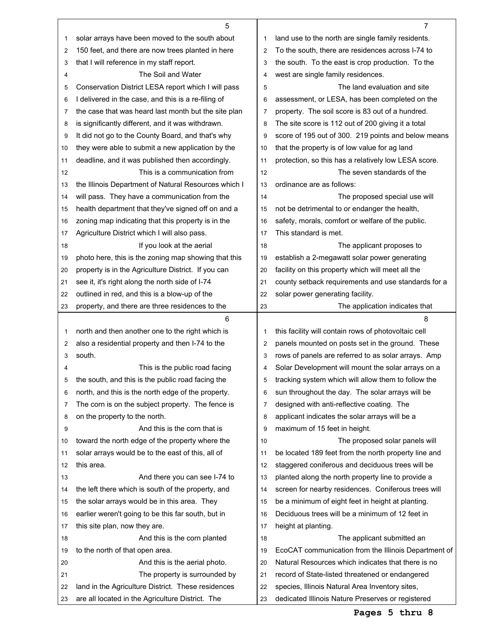|    | 5                                                    |                | $\overline{7}$                                       |
|----|------------------------------------------------------|----------------|------------------------------------------------------|
| 1  | solar arrays have been moved to the south about      | 1              | land use to the north are single family residents.   |
| 2  | 150 feet, and there are now trees planted in here    | $\overline{2}$ | To the south, there are residences across I-74 to    |
| 3  | that I will reference in my staff report.            | 3              | the south. To the east is crop production. To the    |
| 4  | The Soil and Water                                   | 4              | west are single family residences.                   |
| 5  | Conservation District LESA report which I will pass  | 5              | The land evaluation and site                         |
| 6  | I delivered in the case, and this is a re-filing of  | 6              | assessment, or LESA, has been completed on the       |
| 7  | the case that was heard last month but the site plan | 7              | property. The soil score is 83 out of a hundred.     |
| 8  | is significantly different, and it was withdrawn.    | 8              | The site score is 112 out of 200 giving it a total   |
| 9  | It did not go to the County Board, and that's why    | 9              | score of 195 out of 300. 219 points and below means  |
| 10 | they were able to submit a new application by the    | 10             | that the property is of low value for ag land        |
| 11 | deadline, and it was published then accordingly.     | 11             | protection, so this has a relatively low LESA score. |
| 12 | This is a communication from                         | 12             | The seven standards of the                           |
| 13 | the Illinois Department of Natural Resources which I | 13             | ordinance are as follows:                            |
| 14 | will pass. They have a communication from the        | 14             | The proposed special use will                        |
| 15 | health department that they've signed off on and a   | 15             | not be detrimental to or endanger the health,        |
| 16 | zoning map indicating that this property is in the   | 16             | safety, morals, comfort or welfare of the public.    |
| 17 | Agriculture District which I will also pass.         | 17             | This standard is met.                                |
| 18 | If you look at the aerial                            | 18             | The applicant proposes to                            |
| 19 | photo here, this is the zoning map showing that this | 19             | establish a 2-megawatt solar power generating        |
| 20 | property is in the Agriculture District. If you can  | 20             | facility on this property which will meet all the    |
| 21 | see it, it's right along the north side of I-74      | 21             | county setback requirements and use standards for a  |
| 22 | outlined in red, and this is a blow-up of the        | 22             | solar power generating facility.                     |
| 23 | property, and there are three residences to the      | 23             | The application indicates that                       |
|    |                                                      |                |                                                      |
|    | 6                                                    |                | 8                                                    |
| 1  | north and then another one to the right which is     | 1              | this facility will contain rows of photovoltaic cell |
| 2  | also a residential property and then I-74 to the     | 2              | panels mounted on posts set in the ground. These     |
| 3  | south.                                               | 3              | rows of panels are referred to as solar arrays. Amp  |
| 4  | This is the public road facing                       | 4              | Solar Development will mount the solar arrays on a   |
| 5  | the south, and this is the public road facing the    | 5              | tracking system which will allow them to follow the  |
| 6  | north, and this is the north edge of the property.   | 6              | sun throughout the day. The solar arrays will be     |
| 7  | The corn is on the subject property. The fence is    | 7              | designed with anti-reflective coating. The           |
| 8  | on the property to the north.                        | 8              | applicant indicates the solar arrays will be a       |
| 9  | And this is the corn that is                         | 9              | maximum of 15 feet in height.                        |
| 10 | toward the north edge of the property where the      | 10             | The proposed solar panels will                       |
| 11 | solar arrays would be to the east of this, all of    | 11             | be located 189 feet from the north property line and |
| 12 | this area.                                           | 12             | staggered coniferous and deciduous trees will be     |
| 13 | And there you can see I-74 to                        | 13             | planted along the north property line to provide a   |
| 14 | the left there which is south of the property, and   | 14             | screen for nearby residences. Coniferous trees will  |
| 15 | the solar arrays would be in this area. They         | 15             | be a minimum of eight feet in height at planting.    |
| 16 | earlier weren't going to be this far south, but in   | 16             | Deciduous trees will be a minimum of 12 feet in      |
| 17 | this site plan, now they are.                        | 17             | height at planting.                                  |
| 18 | And this is the corn planted                         | 18             | The applicant submitted an                           |
| 19 | to the north of that open area.                      | 19             | EcoCAT communication from the Illinois Department of |
| 20 | And this is the aerial photo.                        | 20             | Natural Resources which indicates that there is no   |
| 21 | The property is surrounded by                        | 21             | record of State-listed threatened or endangered      |
| 22 | land in the Agriculture District. These residences   | 22             | species, Illinois Natural Area Inventory sites,      |

Г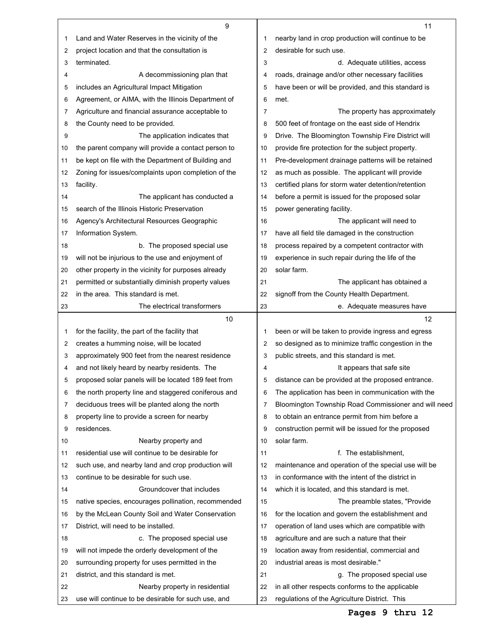|    | 9                                                    |                | 11                                                   |
|----|------------------------------------------------------|----------------|------------------------------------------------------|
| 1  | Land and Water Reserves in the vicinity of the       | 1              | nearby land in crop production will continue to be   |
| 2  | project location and that the consultation is        | 2              | desirable for such use.                              |
| 3  | terminated.                                          | 3              | d. Adequate utilities, access                        |
| 4  | A decommissioning plan that                          | 4              | roads, drainage and/or other necessary facilities    |
| 5  | includes an Agricultural Impact Mitigation           | 5              | have been or will be provided, and this standard is  |
| 6  | Agreement, or AIMA, with the Illinois Department of  | 6              | met.                                                 |
| 7  | Agriculture and financial assurance acceptable to    | $\overline{7}$ | The property has approximately                       |
| 8  | the County need to be provided.                      | 8              | 500 feet of frontage on the east side of Hendrix     |
| 9  | The application indicates that                       | 9              | Drive. The Bloomington Township Fire District will   |
| 10 | the parent company will provide a contact person to  | 10             | provide fire protection for the subject property.    |
| 11 | be kept on file with the Department of Building and  | 11             | Pre-development drainage patterns will be retained   |
| 12 | Zoning for issues/complaints upon completion of the  | 12             | as much as possible. The applicant will provide      |
| 13 | facility.                                            | 13             | certified plans for storm water detention/retention  |
| 14 | The applicant has conducted a                        | 14             | before a permit is issued for the proposed solar     |
| 15 | search of the Illinois Historic Preservation         | 15             | power generating facility.                           |
| 16 | Agency's Architectural Resources Geographic          | 16             | The applicant will need to                           |
| 17 | Information System.                                  | 17             | have all field tile damaged in the construction      |
| 18 | b. The proposed special use                          | 18             | process repaired by a competent contractor with      |
| 19 | will not be injurious to the use and enjoyment of    | 19             | experience in such repair during the life of the     |
| 20 | other property in the vicinity for purposes already  | 20             | solar farm.                                          |
| 21 | permitted or substantially diminish property values  | 21             | The applicant has obtained a                         |
| 22 | in the area. This standard is met.                   | 22             | signoff from the County Health Department.           |
| 23 | The electrical transformers                          | 23             | e. Adequate measures have                            |
|    | 10                                                   |                | $12 \overline{ }$                                    |
| 1  | for the facility, the part of the facility that      | 1              | been or will be taken to provide ingress and egress  |
| 2  | creates a humming noise, will be located             | 2              | so designed as to minimize traffic congestion in the |
| 3  | approximately 900 feet from the nearest residence    | 3              | public streets, and this standard is met.            |
|    |                                                      |                |                                                      |
| 4  | and not likely heard by nearby residents. The        | 4              | It appears that safe site                            |
| 5  | proposed solar panels will be located 189 feet from  | 5              | distance can be provided at the proposed entrance.   |
| 6  | the north property line and staggered coniferous and | 6              | The application has been in communication with the   |
| 7  | deciduous trees will be planted along the north      | 7              | Bloomington Township Road Commissioner and will need |
| 8  | property line to provide a screen for nearby         | 8              | to obtain an entrance permit from him before a       |
| 9  | residences.                                          | 9              | construction permit will be issued for the proposed  |
| 10 | Nearby property and                                  | 10             | solar farm.                                          |
| 11 | residential use will continue to be desirable for    | 11             | f. The establishment,                                |
| 12 | such use, and nearby land and crop production will   | 12             | maintenance and operation of the special use will be |
| 13 | continue to be desirable for such use.               | 13             | in conformance with the intent of the district in    |
| 14 | Groundcover that includes                            | 14             | which it is located, and this standard is met.       |
| 15 | native species, encourages pollination, recommended  | 15             | The preamble states, "Provide"                       |
| 16 | by the McLean County Soil and Water Conservation     | 16             | for the location and govern the establishment and    |
| 17 | District, will need to be installed.                 | 17             | operation of land uses which are compatible with     |
| 18 | c. The proposed special use                          | 18             | agriculture and are such a nature that their         |
| 19 | will not impede the orderly development of the       | 19             | location away from residential, commercial and       |
| 20 | surrounding property for uses permitted in the       | 20             | industrial areas is most desirable."                 |
| 21 | district, and this standard is met.                  | 21             | g. The proposed special use                          |
| 22 | Nearby property in residential                       | 22             | in all other respects conforms to the applicable     |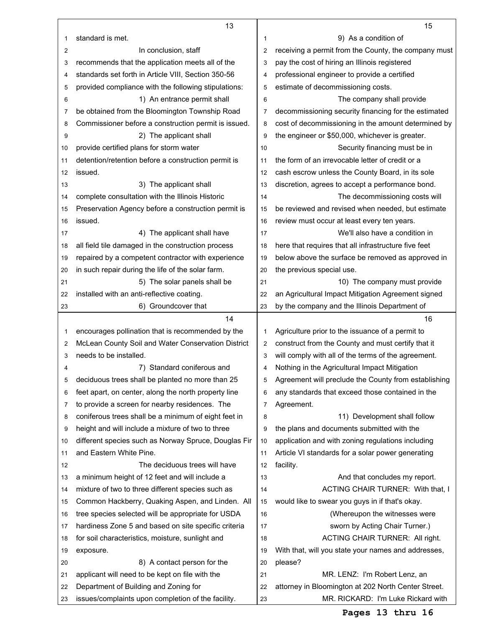|    | 13                                                   |                | 15                                                   |
|----|------------------------------------------------------|----------------|------------------------------------------------------|
| 1  | standard is met.                                     | 1              | 9) As a condition of                                 |
| 2  | In conclusion, staff                                 | $\overline{2}$ | receiving a permit from the County, the company must |
| 3  | recommends that the application meets all of the     | 3              | pay the cost of hiring an Illinois registered        |
| 4  | standards set forth in Article VIII, Section 350-56  | 4              | professional engineer to provide a certified         |
| 5  | provided compliance with the following stipulations: | 5              | estimate of decommissioning costs.                   |
| 6  | 1) An entrance permit shall                          | 6              | The company shall provide                            |
| 7  | be obtained from the Bloomington Township Road       | 7              | decommissioning security financing for the estimated |
| 8  | Commissioner before a construction permit is issued. | 8              | cost of decommissioning in the amount determined by  |
| 9  | 2) The applicant shall                               | 9              | the engineer or \$50,000, whichever is greater.      |
| 10 | provide certified plans for storm water              | 10             | Security financing must be in                        |
| 11 | detention/retention before a construction permit is  | 11             | the form of an irrevocable letter of credit or a     |
| 12 | issued.                                              | 12             | cash escrow unless the County Board, in its sole     |
| 13 | 3) The applicant shall                               | 13             | discretion, agrees to accept a performance bond.     |
| 14 | complete consultation with the Illinois Historic     | 14             | The decommissioning costs will                       |
| 15 | Preservation Agency before a construction permit is  | 15             | be reviewed and revised when needed, but estimate    |
| 16 | issued.                                              | 16             | review must occur at least every ten years.          |
| 17 | 4) The applicant shall have                          | 17             | We'll also have a condition in                       |
| 18 | all field tile damaged in the construction process   | 18             | here that requires that all infrastructure five feet |
| 19 | repaired by a competent contractor with experience   | 19             | below above the surface be removed as approved in    |
| 20 | in such repair during the life of the solar farm.    | 20             | the previous special use.                            |
| 21 | 5) The solar panels shall be                         | 21             | 10) The company must provide                         |
| 22 | installed with an anti-reflective coating.           | 22             | an Agricultural Impact Mitigation Agreement signed   |
| 23 | 6) Groundcover that                                  | 23             | by the company and the Illinois Department of        |
|    | 14                                                   |                | 16                                                   |
| 1  | encourages pollination that is recommended by the    | 1              | Agriculture prior to the issuance of a permit to     |
| 2  | McLean County Soil and Water Conservation District   | 2              | construct from the County and must certify that it   |
| 3  | needs to be installed.                               | 3              | will comply with all of the terms of the agreement.  |
| 4  | Standard coniferous and<br>7)                        | 4              | Nothing in the Agricultural Impact Mitigation        |
| 5  | deciduous trees shall be planted no more than 25     | 5              | Agreement will preclude the County from establishing |
| 6  | feet apart, on center, along the north property line | 6              | any standards that exceed those contained in the     |
| 7  | to provide a screen for nearby residences. The       | 7              | Agreement.                                           |
| 8  | coniferous trees shall be a minimum of eight feet in | 8              | 11) Development shall follow                         |
| 9  | height and will include a mixture of two to three    | 9              | the plans and documents submitted with the           |
| 10 | different species such as Norway Spruce, Douglas Fir | 10             | application and with zoning regulations including    |
| 11 | and Eastern White Pine.                              | 11             | Article VI standards for a solar power generating    |
| 12 | The deciduous trees will have                        | 12             | facility.                                            |
| 13 | a minimum height of 12 feet and will include a       | 13             | And that concludes my report.                        |
| 14 | mixture of two to three different species such as    | 14             | ACTING CHAIR TURNER: With that, I                    |
| 15 | Common Hackberry, Quaking Aspen, and Linden. All     | 15             | would like to swear you guys in if that's okay.      |
| 16 | tree species selected will be appropriate for USDA   | 16             | (Whereupon the witnesses were                        |
| 17 | hardiness Zone 5 and based on site specific criteria | 17             | sworn by Acting Chair Turner.)                       |
| 18 | for soil characteristics, moisture, sunlight and     | 18             | ACTING CHAIR TURNER: All right.                      |
| 19 | exposure.                                            | 19             | With that, will you state your names and addresses,  |
| 20 | 8) A contact person for the                          | 20             | please?                                              |
| 21 | applicant will need to be kept on file with the      | 21             | MR. LENZ: I'm Robert Lenz, an                        |
| 22 | Department of Building and Zoning for                | 22             | attorney in Bloomington at 202 North Center Street.  |
| 23 | issues/complaints upon completion of the facility.   | 23             | MR. RICKARD: I'm Luke Rickard with                   |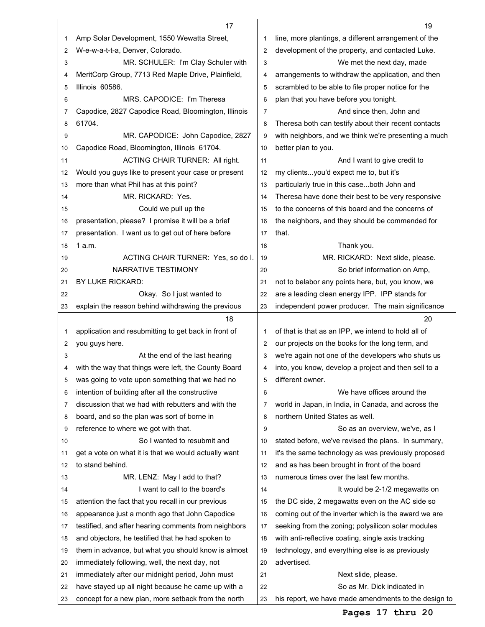|    | 17                                                   |                | 19                                                   |
|----|------------------------------------------------------|----------------|------------------------------------------------------|
| 1  | Amp Solar Development, 1550 Wewatta Street,          | 1              | line, more plantings, a different arrangement of the |
| 2  | W-e-w-a-t-t-a, Denver, Colorado.                     | $\overline{2}$ | development of the property, and contacted Luke.     |
| 3  | MR. SCHULER: I'm Clay Schuler with                   | 3              | We met the next day, made                            |
| 4  | MeritCorp Group, 7713 Red Maple Drive, Plainfield,   | $\overline{4}$ | arrangements to withdraw the application, and then   |
| 5  | Illinois 60586.                                      | 5              | scrambled to be able to file proper notice for the   |
| 6  | MRS. CAPODICE: I'm Theresa                           | 6              | plan that you have before you tonight.               |
| 7  | Capodice, 2827 Capodice Road, Bloomington, Illinois  | 7              | And since then, John and                             |
| 8  | 61704.                                               | 8              | Theresa both can testify about their recent contacts |
| 9  | MR. CAPODICE: John Capodice, 2827                    | 9              | with neighbors, and we think we're presenting a much |
| 10 | Capodice Road, Bloomington, Illinois 61704.          | 10             | better plan to you.                                  |
| 11 | ACTING CHAIR TURNER: All right.                      | 11             | And I want to give credit to                         |
| 12 | Would you guys like to present your case or present  | 12             | my clientsyou'd expect me to, but it's               |
| 13 | more than what Phil has at this point?               | 13             | particularly true in this caseboth John and          |
| 14 | MR. RICKARD: Yes.                                    | 14             | Theresa have done their best to be very responsive   |
| 15 | Could we pull up the                                 | 15             | to the concerns of this board and the concerns of    |
| 16 | presentation, please? I promise it will be a brief   | 16             | the neighbors, and they should be commended for      |
| 17 | presentation. I want us to get out of here before    | 17             | that.                                                |
| 18 | 1a.m.                                                | 18             | Thank you.                                           |
| 19 | ACTING CHAIR TURNER: Yes, so do I.                   | 19             | MR. RICKARD: Next slide, please.                     |
| 20 | NARRATIVE TESTIMONY                                  | 20             | So brief information on Amp,                         |
| 21 | BY LUKE RICKARD:                                     | 21             | not to belabor any points here, but, you know, we    |
| 22 | Okay. So I just wanted to                            | 22             | are a leading clean energy IPP. IPP stands for       |
| 23 | explain the reason behind withdrawing the previous   | 23             | independent power producer. The main significance    |
|    | 18                                                   |                | 20                                                   |
| 1  | application and resubmitting to get back in front of | 1              | of that is that as an IPP, we intend to hold all of  |
| 2  | you guys here.                                       | $\overline{2}$ | our projects on the books for the long term, and     |
| 3  | At the end of the last hearing                       | 3              | we're again not one of the developers who shuts us   |
| 4  | with the way that things were left, the County Board | 4              | into, you know, develop a project and then sell to a |
| 5  | was going to vote upon something that we had no      | 5              | different owner.                                     |
| 6  | intention of building after all the constructive     | 6              | We have offices around the                           |
| 7  | discussion that we had with rebutters and with the   | 7              | world in Japan, in India, in Canada, and across the  |
| 8  | board, and so the plan was sort of borne in          | 8              | northern United States as well.                      |
| 9  | reference to where we got with that.                 | 9              | So as an overview, we've, as I                       |
| 10 | So I wanted to resubmit and                          | 10             | stated before, we've revised the plans. In summary,  |
| 11 | get a vote on what it is that we would actually want | 11             | it's the same technology as was previously proposed  |
| 12 | to stand behind.                                     | 12             | and as has been brought in front of the board        |
| 13 | MR. LENZ: May I add to that?                         | 13             | numerous times over the last few months.             |
| 14 | I want to call to the board's                        | 14             | It would be 2-1/2 megawatts on                       |
| 15 | attention the fact that you recall in our previous   | 15             | the DC side, 2 megawatts even on the AC side so      |
|    | appearance just a month ago that John Capodice       | 16             | coming out of the inverter which is the award we are |
| 16 |                                                      |                |                                                      |
| 17 | testified, and after hearing comments from neighbors | 17             | seeking from the zoning; polysilicon solar modules   |
| 18 | and objectors, he testified that he had spoken to    | 18             | with anti-reflective coating, single axis tracking   |
| 19 | them in advance, but what you should know is almost  | 19             | technology, and everything else is as previously     |
| 20 | immediately following, well, the next day, not       | 20             | advertised.                                          |
| 21 | immediately after our midnight period, John must     | 21             | Next slide, please.                                  |
| 22 | have stayed up all night because he came up with a   | 22             | So as Mr. Dick indicated in                          |
| 23 | concept for a new plan, more setback from the north  | 23             | his report, we have made amendments to the design to |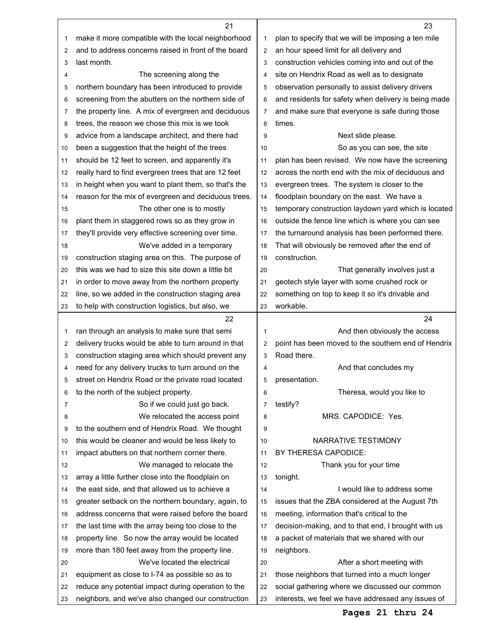|    | 21                                                   |                | 23                                                   |
|----|------------------------------------------------------|----------------|------------------------------------------------------|
| 1  | make it more compatible with the local neighborhood  | 1              | plan to specify that we will be imposing a ten mile  |
| 2  | and to address concerns raised in front of the board | 2              | an hour speed limit for all delivery and             |
| 3  | last month.                                          | 3              | construction vehicles coming into and out of the     |
| 4  | The screening along the                              | 4              | site on Hendrix Road as well as to designate         |
| 5  | northern boundary has been introduced to provide     | 5              | observation personally to assist delivery drivers    |
| 6  | screening from the abutters on the northern side of  | 6              | and residents for safety when delivery is being made |
| 7  | the property line. A mix of evergreen and deciduous  | $\overline{7}$ | and make sure that everyone is safe during those     |
| 8  | trees, the reason we chose this mix is we took       | 8              | times.                                               |
| 9  | advice from a landscape architect, and there had     | 9              | Next slide please.                                   |
| 10 | been a suggestion that the height of the trees       | 10             | So as you can see, the site                          |
| 11 | should be 12 feet to screen, and apparently it's     | 11             | plan has been revised. We now have the screening     |
| 12 | really hard to find evergreen trees that are 12 feet | 12             | across the north end with the mix of deciduous and   |
| 13 | in height when you want to plant them, so that's the | 13             | evergreen trees. The system is closer to the         |
| 14 | reason for the mix of evergreen and deciduous trees. | 14             | floodplain boundary on the east. We have a           |
| 15 | The other one is to mostly                           | 15             | temporary construction laydown yard which is located |
| 16 | plant them in staggered rows so as they grow in      | 16             | outside the fence line which is where you can see    |
| 17 | they'll provide very effective screening over time.  | 17             | the turnaround analysis has been performed there.    |
| 18 | We've added in a temporary                           | 18             | That will obviously be removed after the end of      |
|    | construction staging area on this. The purpose of    | 19             | construction.                                        |
| 19 |                                                      |                |                                                      |
| 20 | this was we had to size this site down a little bit  | 20             | That generally involves just a                       |
| 21 | in order to move away from the northern property     | 21             | geotech style layer with some crushed rock or        |
| 22 | line, so we added in the construction staging area   | 22             | something on top to keep it so it's drivable and     |
| 23 | to help with construction logistics, but also, we    | 23             | workable.                                            |
|    |                                                      |                |                                                      |
|    | 22                                                   |                | 24                                                   |
| 1  | ran through an analysis to make sure that semi       | 1              | And then obviously the access                        |
| 2  | delivery trucks would be able to turn around in that | $\overline{2}$ | point has been moved to the southern end of Hendrix  |
| 3  | construction staging area which should prevent any   | 3              | Road there.                                          |
| 4  | need for any delivery trucks to turn around on the   | 4              | And that concludes my                                |
| 5  | street on Hendrix Road or the private road located   | 5              | presentation.                                        |
| 6  | to the north of the subject property.                | 6              | Theresa, would you like to                           |
| 7  | So if we could just go back.                         | 7              | testify?                                             |
| 8  | We relocated the access point                        | 8              | MRS. CAPODICE: Yes.                                  |
| 9  | to the southern end of Hendrix Road. We thought      | 9              |                                                      |
| 10 | this would be cleaner and would be less likely to    | 10             | NARRATIVE TESTIMONY                                  |
| 11 | impact abutters on that northern corner there.       | 11             | BY THERESA CAPODICE:                                 |
| 12 | We managed to relocate the                           | 12             | Thank you for your time                              |
| 13 | array a little further close into the floodplain on  | 13             | tonight.                                             |
| 14 | the east side, and that allowed us to achieve a      | 14             | I would like to address some                         |
| 15 | greater setback on the northern boundary, again, to  | 15             | issues that the ZBA considered at the August 7th     |
| 16 | address concerns that were raised before the board   | 16             | meeting, information that's critical to the          |
| 17 | the last time with the array being too close to the  | 17             | decision-making, and to that end, I brought with us  |
| 18 | property line. So now the array would be located     | 18             | a packet of materials that we shared with our        |
| 19 | more than 180 feet away from the property line.      | 19             | neighbors.                                           |
| 20 | We've located the electrical                         | 20             | After a short meeting with                           |
| 21 | equipment as close to I-74 as possible so as to      | 21             | those neighbors that turned into a much longer       |
| 22 | reduce any potential impact during operation to the  | 22             | social gathering where we discussed our common       |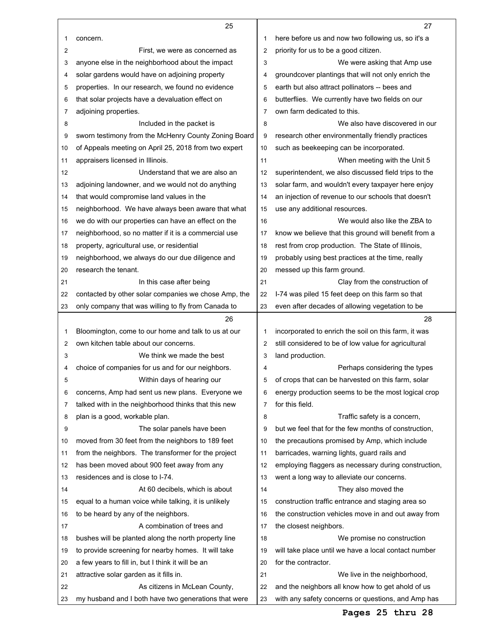|    | 25                                                   |    | 27                                                   |
|----|------------------------------------------------------|----|------------------------------------------------------|
| 1  | concern.                                             | 1  | here before us and now two following us, so it's a   |
| 2  | First, we were as concerned as                       | 2  | priority for us to be a good citizen.                |
| 3  | anyone else in the neighborhood about the impact     | 3  | We were asking that Amp use                          |
| 4  | solar gardens would have on adjoining property       | 4  | groundcover plantings that will not only enrich the  |
| 5  | properties. In our research, we found no evidence    | 5  | earth but also attract pollinators -- bees and       |
| 6  | that solar projects have a devaluation effect on     | 6  | butterflies. We currently have two fields on our     |
| 7  | adjoining properties.                                | 7  | own farm dedicated to this.                          |
| 8  | Included in the packet is                            | 8  | We also have discovered in our                       |
| 9  | sworn testimony from the McHenry County Zoning Board | 9  | research other environmentally friendly practices    |
| 10 | of Appeals meeting on April 25, 2018 from two expert | 10 | such as beekeeping can be incorporated.              |
| 11 | appraisers licensed in Illinois.                     | 11 | When meeting with the Unit 5                         |
| 12 | Understand that we are also an                       | 12 | superintendent, we also discussed field trips to the |
| 13 | adjoining landowner, and we would not do anything    | 13 | solar farm, and wouldn't every taxpayer here enjoy   |
| 14 | that would compromise land values in the             | 14 | an injection of revenue to our schools that doesn't  |
| 15 | neighborhood. We have always been aware that what    | 15 | use any additional resources.                        |
| 16 | we do with our properties can have an effect on the  | 16 | We would also like the ZBA to                        |
| 17 | neighborhood, so no matter if it is a commercial use | 17 | know we believe that this ground will benefit from a |
| 18 | property, agricultural use, or residential           | 18 | rest from crop production. The State of Illinois,    |
| 19 | neighborhood, we always do our due diligence and     | 19 | probably using best practices at the time, really    |
| 20 | research the tenant.                                 | 20 | messed up this farm ground.                          |
| 21 | In this case after being                             | 21 | Clay from the construction of                        |
| 22 | contacted by other solar companies we chose Amp, the | 22 | I-74 was piled 15 feet deep on this farm so that     |
| 23 | only company that was willing to fly from Canada to  | 23 | even after decades of allowing vegetation to be      |
|    |                                                      |    |                                                      |
|    | 26                                                   |    | 28                                                   |
| 1  | Bloomington, come to our home and talk to us at our  | 1  | incorporated to enrich the soil on this farm, it was |
| 2  | own kitchen table about our concerns.                | 2  | still considered to be of low value for agricultural |
| 3  | We think we made the best                            | 3  | land production.                                     |
| 4  | choice of companies for us and for our neighbors.    | 4  | Perhaps considering the types                        |
| 5  | Within days of hearing our                           | 5  | of crops that can be harvested on this farm, solar   |
| 6  | concerns, Amp had sent us new plans. Everyone we     | 6  | energy production seems to be the most logical crop  |
| 7  | talked with in the neighborhood thinks that this new | 7  | for this field.                                      |
| 8  | plan is a good, workable plan.                       | 8  | Traffic safety is a concern,                         |
| 9  | The solar panels have been                           | 9  | but we feel that for the few months of construction, |
| 10 | moved from 30 feet from the neighbors to 189 feet    | 10 | the precautions promised by Amp, which include       |
| 11 | from the neighbors. The transformer for the project  | 11 | barricades, warning lights, guard rails and          |
| 12 | has been moved about 900 feet away from any          | 12 | employing flaggers as necessary during construction, |
| 13 | residences and is close to I-74.                     | 13 | went a long way to alleviate our concerns.           |
| 14 | At 60 decibels, which is about                       | 14 | They also moved the                                  |
| 15 | equal to a human voice while talking, it is unlikely | 15 | construction traffic entrance and staging area so    |
| 16 | to be heard by any of the neighbors.                 | 16 | the construction vehicles move in and out away from  |
| 17 | A combination of trees and                           | 17 | the closest neighbors.                               |
| 18 | bushes will be planted along the north property line | 18 | We promise no construction                           |
| 19 | to provide screening for nearby homes. It will take  | 19 | will take place until we have a local contact number |
| 20 | a few years to fill in, but I think it will be an    | 20 | for the contractor.                                  |
| 21 | attractive solar garden as it fills in.              | 21 | We live in the neighborhood,                         |
| 22 | As citizens in McLean County,                        | 22 | and the neighbors all know how to get ahold of us    |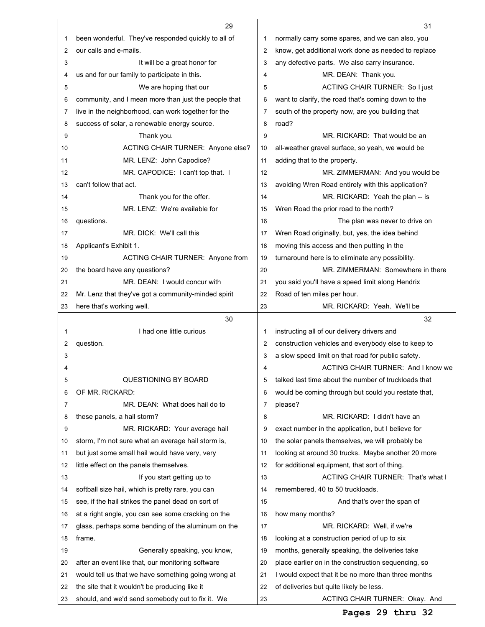|    | 29                                                   |    | 31                                                   |
|----|------------------------------------------------------|----|------------------------------------------------------|
| 1  | been wonderful. They've responded quickly to all of  | 1  | normally carry some spares, and we can also, you     |
| 2  | our calls and e-mails.                               | 2  | know, get additional work done as needed to replace  |
| 3  | It will be a great honor for                         | 3  | any defective parts. We also carry insurance.        |
| 4  | us and for our family to participate in this.        | 4  | MR. DEAN: Thank you.                                 |
| 5  | We are hoping that our                               | 5  | ACTING CHAIR TURNER: So I just                       |
| 6  | community, and I mean more than just the people that | 6  | want to clarify, the road that's coming down to the  |
| 7  | live in the neighborhood, can work together for the  | 7  | south of the property now, are you building that     |
| 8  | success of solar, a renewable energy source.         | 8  | road?                                                |
| 9  | Thank you.                                           | 9  | MR. RICKARD: That would be an                        |
| 10 | ACTING CHAIR TURNER: Anyone else?                    | 10 | all-weather gravel surface, so yeah, we would be     |
| 11 | MR. LENZ: John Capodice?                             | 11 | adding that to the property.                         |
| 12 | MR. CAPODICE: I can't top that. I                    | 12 | MR. ZIMMERMAN: And you would be                      |
| 13 | can't follow that act.                               | 13 | avoiding Wren Road entirely with this application?   |
| 14 | Thank you for the offer.                             | 14 | MR. RICKARD: Yeah the plan -- is                     |
| 15 | MR. LENZ: We're available for                        | 15 | Wren Road the prior road to the north?               |
| 16 | questions.                                           | 16 | The plan was never to drive on                       |
| 17 | MR. DICK: We'll call this                            | 17 | Wren Road originally, but, yes, the idea behind      |
| 18 | Applicant's Exhibit 1.                               | 18 | moving this access and then putting in the           |
| 19 | ACTING CHAIR TURNER: Anyone from                     | 19 | turnaround here is to eliminate any possibility.     |
| 20 | the board have any questions?                        | 20 | MR. ZIMMERMAN: Somewhere in there                    |
| 21 | MR. DEAN: I would concur with                        | 21 | you said you'll have a speed limit along Hendrix     |
| 22 | Mr. Lenz that they've got a community-minded spirit  | 22 | Road of ten miles per hour.                          |
| 23 | here that's working well.                            | 23 | MR. RICKARD: Yeah. We'll be                          |
|    | 30                                                   |    | 32                                                   |
|    |                                                      |    |                                                      |
| 1  | I had one little curious                             | 1  | instructing all of our delivery drivers and          |
| 2  | question.                                            | 2  | construction vehicles and everybody else to keep to  |
| 3  |                                                      | 3  | a slow speed limit on that road for public safety.   |
| 4  |                                                      | 4  | ACTING CHAIR TURNER: And I know we                   |
| 5  | QUESTIONING BY BOARD                                 | 5  | talked last time about the number of truckloads that |
| 6  | OF MR. RICKARD:                                      | 6  | would be coming through but could you restate that,  |
| 7  | MR. DEAN: What does hail do to                       | 7  | please?                                              |
| 8  | these panels, a hail storm?                          | 8  | MR. RICKARD: I didn't have an                        |
| 9  | MR. RICKARD: Your average hail                       | 9  | exact number in the application, but I believe for   |
| 10 | storm, I'm not sure what an average hail storm is,   | 10 | the solar panels themselves, we will probably be     |
| 11 | but just some small hail would have very, very       | 11 | looking at around 30 trucks. Maybe another 20 more   |
| 12 | little effect on the panels themselves.              | 12 | for additional equipment, that sort of thing.        |
| 13 | If you start getting up to                           | 13 | ACTING CHAIR TURNER: That's what I                   |
| 14 | softball size hail, which is pretty rare, you can    | 14 | remembered, 40 to 50 truckloads.                     |
| 15 | see, if the hail strikes the panel dead on sort of   | 15 | And that's over the span of                          |
| 16 | at a right angle, you can see some cracking on the   | 16 | how many months?                                     |
| 17 | glass, perhaps some bending of the aluminum on the   | 17 | MR. RICKARD: Well, if we're                          |
| 18 | frame.                                               | 18 | looking at a construction period of up to six        |
| 19 | Generally speaking, you know,                        | 19 | months, generally speaking, the deliveries take      |
| 20 | after an event like that, our monitoring software    | 20 | place earlier on in the construction sequencing, so  |
| 21 | would tell us that we have something going wrong at  | 21 | I would expect that it be no more than three months  |
| 22 | the site that it wouldn't be producing like it       | 22 | of deliveries but quite likely be less.              |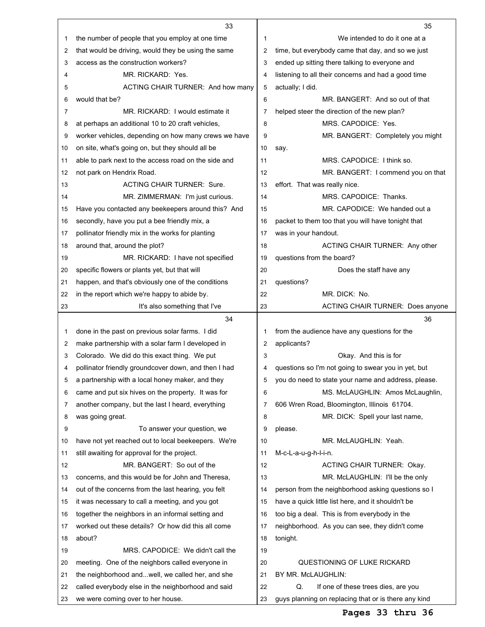|          | 33                                                                                                     |          | 35                                                              |
|----------|--------------------------------------------------------------------------------------------------------|----------|-----------------------------------------------------------------|
| 1        | the number of people that you employ at one time                                                       | 1        | We intended to do it one at a                                   |
| 2        | that would be driving, would they be using the same                                                    | 2        | time, but everybody came that day, and so we just               |
| 3        | access as the construction workers?                                                                    | 3        | ended up sitting there talking to everyone and                  |
| 4        | MR. RICKARD: Yes.                                                                                      | 4        | listening to all their concerns and had a good time             |
| 5        | ACTING CHAIR TURNER: And how many                                                                      | 5        | actually; I did.                                                |
| 6        | would that be?                                                                                         | 6        | MR. BANGERT: And so out of that                                 |
| 7        | MR. RICKARD: I would estimate it                                                                       | 7        | helped steer the direction of the new plan?                     |
| 8        | at perhaps an additional 10 to 20 craft vehicles,                                                      | 8        | MRS. CAPODICE: Yes.                                             |
| 9        | worker vehicles, depending on how many crews we have                                                   | 9        | MR. BANGERT: Completely you might                               |
| 10       | on site, what's going on, but they should all be                                                       | 10       | say.                                                            |
| 11       | able to park next to the access road on the side and                                                   | 11       | MRS. CAPODICE: I think so.                                      |
| 12       | not park on Hendrix Road.                                                                              | 12       | MR. BANGERT: I commend you on that                              |
| 13       | <b>ACTING CHAIR TURNER: Sure.</b>                                                                      | 13       | effort. That was really nice.                                   |
| 14       | MR. ZIMMERMAN: I'm just curious.                                                                       | 14       | MRS. CAPODICE: Thanks.                                          |
| 15       | Have you contacted any beekeepers around this? And                                                     | 15       | MR. CAPODICE: We handed out a                                   |
| 16       | secondly, have you put a bee friendly mix, a                                                           | 16       | packet to them too that you will have tonight that              |
| 17       | pollinator friendly mix in the works for planting                                                      | 17       | was in your handout.                                            |
| 18       | around that, around the plot?                                                                          | 18       | ACTING CHAIR TURNER: Any other                                  |
| 19       | MR. RICKARD: I have not specified                                                                      | 19       | questions from the board?                                       |
| 20       | specific flowers or plants yet, but that will                                                          | 20       | Does the staff have any                                         |
| 21       | happen, and that's obviously one of the conditions                                                     | 21       | questions?                                                      |
| 22       | in the report which we're happy to abide by.                                                           | 22       | MR. DICK: No.                                                   |
| 23       | It's also something that I've                                                                          | 23       | <b>ACTING CHAIR TURNER: Does anyone</b>                         |
|          |                                                                                                        |          |                                                                 |
|          | 34                                                                                                     |          | 36                                                              |
| 1        |                                                                                                        | 1        |                                                                 |
| 2        | done in the past on previous solar farms. I did                                                        | 2        | from the audience have any questions for the                    |
| 3        | make partnership with a solar farm I developed in                                                      | 3        | applicants?<br>Okay. And this is for                            |
| 4        | Colorado. We did do this exact thing. We put                                                           | 4        |                                                                 |
| 5        | pollinator friendly groundcover down, and then I had                                                   | 5        | questions so I'm not going to swear you in yet, but             |
| 6        | a partnership with a local honey maker, and they                                                       | 6        | you do need to state your name and address, please.             |
| 7        | came and put six hives on the property. It was for                                                     | 7        | MS. McLAUGHLIN: Amos McLaughlin,                                |
| 8        | another company, but the last I heard, everything                                                      | 8        | 606 Wren Road, Bloomington, Illinois 61704.                     |
| 9        | was going great.                                                                                       | 9        | MR. DICK: Spell your last name,<br>please.                      |
| 10       | To answer your question, we                                                                            | 10       | MR. McLAUGHLIN: Yeah.                                           |
| 11       | have not yet reached out to local beekeepers. We're                                                    | 11       |                                                                 |
| 12       | still awaiting for approval for the project.<br>MR. BANGERT: So out of the                             | 12       | M-c-L-a-u-g-h-l-i-n.<br><b>ACTING CHAIR TURNER: Okay.</b>       |
| 13       |                                                                                                        | 13       |                                                                 |
|          | concerns, and this would be for John and Theresa,                                                      | 14       | MR. McLAUGHLIN: I'll be the only                                |
| 14<br>15 | out of the concerns from the last hearing, you felt                                                    | 15       | person from the neighborhood asking questions so I              |
|          | it was necessary to call a meeting, and you got                                                        |          | have a quick little list here, and it shouldn't be              |
| 16       | together the neighbors in an informal setting and                                                      | 16       | too big a deal. This is from everybody in the                   |
| 17       | worked out these details? Or how did this all come<br>about?                                           | 17<br>18 | neighborhood. As you can see, they didn't come                  |
| 18       | MRS. CAPODICE: We didn't call the                                                                      | 19       | tonight.                                                        |
| 19       |                                                                                                        | 20       |                                                                 |
| 20<br>21 | meeting. One of the neighbors called everyone in                                                       | 21       | QUESTIONING OF LUKE RICKARD                                     |
| 22       | the neighborhood andwell, we called her, and she<br>called everybody else in the neighborhood and said | 22       | BY MR. McLAUGHLIN:<br>Q.<br>If one of these trees dies, are you |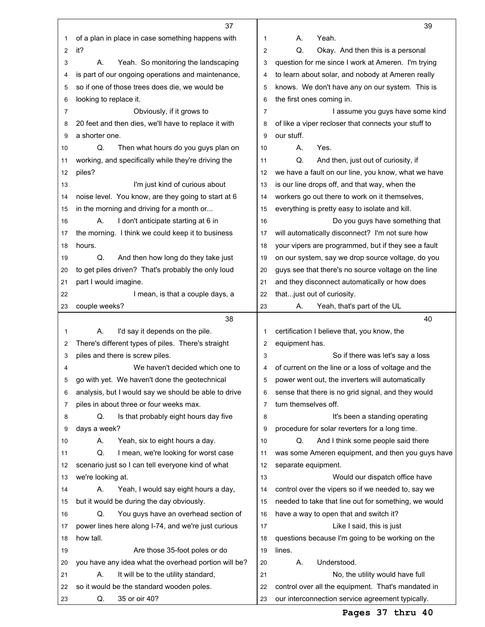|    | 37                                                   |                | 39                                                   |
|----|------------------------------------------------------|----------------|------------------------------------------------------|
| 1  | of a plan in place in case something happens with    | 1              | А.<br>Yeah.                                          |
| 2  | it?                                                  | 2              | Q.<br>Okay. And then this is a personal              |
| 3  | Yeah. So monitoring the landscaping<br>А.            | 3              | question for me since I work at Ameren. I'm trying   |
| 4  | is part of our ongoing operations and maintenance,   | 4              | to learn about solar, and nobody at Ameren really    |
| 5  | so if one of those trees does die, we would be       | 5              | knows. We don't have any on our system. This is      |
| 6  | looking to replace it.                               | 6              | the first ones coming in.                            |
| 7  | Obviously, if it grows to                            | $\overline{7}$ | I assume you guys have some kind                     |
| 8  | 20 feet and then dies, we'll have to replace it with | 8              | of like a viper recloser that connects your stuff to |
| 9  | a shorter one.                                       | 9              | our stuff.                                           |
| 10 | Q.<br>Then what hours do you guys plan on            | 10             | Yes.<br>А.                                           |
| 11 | working, and specifically while they're driving the  | 11             | Q.<br>And then, just out of curiosity, if            |
| 12 | piles?                                               | 12             | we have a fault on our line, you know, what we have  |
| 13 | I'm just kind of curious about                       | 13             | is our line drops off, and that way, when the        |
| 14 | noise level. You know, are they going to start at 6  | 14             | workers go out there to work on it themselves,       |
| 15 | in the morning and driving for a month or            | 15             | everything is pretty easy to isolate and kill.       |
| 16 | А.<br>I don't anticipate starting at 6 in            | 16             | Do you guys have something that                      |
| 17 | the morning. I think we could keep it to business    | 17             | will automatically disconnect? I'm not sure how      |
| 18 | hours.                                               | 18             | your vipers are programmed, but if they see a fault  |
| 19 | Q.<br>And then how long do they take just            | 19             | on our system, say we drop source voltage, do you    |
| 20 | to get piles driven? That's probably the only loud   | 20             | guys see that there's no source voltage on the line  |
| 21 | part I would imagine.                                | 21             | and they disconnect automatically or how does        |
| 22 | I mean, is that a couple days, a                     | 22             | that just out of curiosity.                          |
| 23 | couple weeks?                                        | 23             | Yeah, that's part of the UL<br>А.                    |
|    |                                                      |                |                                                      |
|    | 38                                                   |                | 40                                                   |
| 1  | I'd say it depends on the pile.<br>А.                | 1              | certification I believe that, you know, the          |
| 2  | There's different types of piles. There's straight   | 2              | equipment has.                                       |
| 3  | piles and there is screw piles.                      | 3              | So if there was let's say a loss                     |
| 4  | We haven't decided which one to                      | 4              | of current on the line or a loss of voltage and the  |
| 5  | go with yet. We haven't done the geotechnical        | 5              | power went out, the inverters will automatically     |
| 6  | analysis, but I would say we should be able to drive | 6              | sense that there is no grid signal, and they would   |
| 7  | piles in about three or four weeks max.              | 7              | turn themselves off.                                 |
| 8  | Q.<br>Is that probably eight hours day five          | 8              | It's been a standing operating                       |
| 9  | days a week?                                         | 9              | procedure for solar reverters for a long time.       |
| 10 | Yeah, six to eight hours a day.<br>А.                | 10             | And I think some people said there<br>Q.             |
| 11 | Q.<br>I mean, we're looking for worst case           | 11             | was some Ameren equipment, and then you guys have    |
| 12 | scenario just so I can tell everyone kind of what    | 12             | separate equipment.                                  |
| 13 | we're looking at.                                    | 13             | Would our dispatch office have                       |
| 14 | Yeah, I would say eight hours a day,<br>А.           | 14             | control over the vipers so if we needed to, say we   |
| 15 | but it would be during the day obviously.            | 15             | needed to take that line out for something, we would |
| 16 | Q.<br>You guys have an overhead section of           | 16             | have a way to open that and switch it?               |
| 17 | power lines here along I-74, and we're just curious  | 17             | Like I said, this is just                            |
| 18 | how tall.                                            | 18             | questions because I'm going to be working on the     |
| 19 | Are those 35-foot poles or do                        | 19             | lines.                                               |
| 20 | you have any idea what the overhead portion will be? | 20             | Understood.<br>А.                                    |
| 21 | It will be to the utility standard,<br>Α.            | 21             | No, the utility would have full                      |
| 22 | so it would be the standard wooden poles.            | 22             | control over all the equipment. That's mandated in   |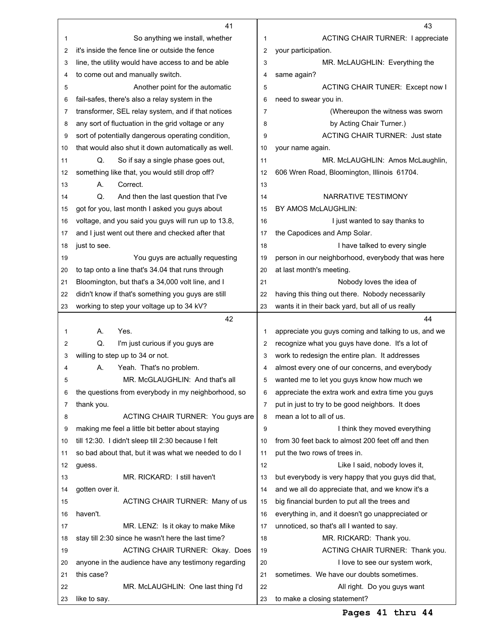|    | 41                                                   |                | 43                                                   |
|----|------------------------------------------------------|----------------|------------------------------------------------------|
| 1  | So anything we install, whether                      | 1              | <b>ACTING CHAIR TURNER: I appreciate</b>             |
| 2  | it's inside the fence line or outside the fence      | 2              | your participation.                                  |
| 3  | line, the utility would have access to and be able   | 3              | MR. McLAUGHLIN: Everything the                       |
| 4  | to come out and manually switch.                     | 4              | same again?                                          |
| 5  | Another point for the automatic                      | 5              | ACTING CHAIR TUNER: Except now I                     |
| 6  | fail-safes, there's also a relay system in the       | 6              | need to swear you in.                                |
| 7  | transformer, SEL relay system, and if that notices   | $\overline{7}$ | (Whereupon the witness was sworn                     |
| 8  | any sort of fluctuation in the grid voltage or any   | 8              | by Acting Chair Turner.)                             |
| 9  | sort of potentially dangerous operating condition,   | 9              | <b>ACTING CHAIR TURNER: Just state</b>               |
| 10 | that would also shut it down automatically as well.  | 10             | your name again.                                     |
| 11 | Q.<br>So if say a single phase goes out,             | 11             | MR. McLAUGHLIN: Amos McLaughlin,                     |
| 12 | something like that, you would still drop off?       | 12             | 606 Wren Road, Bloomington, Illinois 61704.          |
| 13 | А.<br>Correct.                                       | 13             |                                                      |
| 14 | Q.<br>And then the last question that I've           | 14             | NARRATIVE TESTIMONY                                  |
| 15 | got for you, last month I asked you guys about       | 15             | BY AMOS McLAUGHLIN:                                  |
| 16 | voltage, and you said you guys will run up to 13.8,  | 16             | I just wanted to say thanks to                       |
| 17 | and I just went out there and checked after that     | 17             | the Capodices and Amp Solar.                         |
| 18 | just to see.                                         | 18             | I have talked to every single                        |
| 19 | You guys are actually requesting                     | 19             | person in our neighborhood, everybody that was here  |
| 20 | to tap onto a line that's 34.04 that runs through    | 20             | at last month's meeting.                             |
| 21 | Bloomington, but that's a 34,000 volt line, and I    | 21             | Nobody loves the idea of                             |
| 22 | didn't know if that's something you guys are still   | 22             | having this thing out there. Nobody necessarily      |
| 23 | working to step your voltage up to 34 kV?            | 23             | wants it in their back yard, but all of us really    |
|    |                                                      |                |                                                      |
|    | 42                                                   |                | 44                                                   |
| 1  | А.<br>Yes.                                           | 1              | appreciate you guys coming and talking to us, and we |
| 2  | Q.<br>I'm just curious if you guys are               | 2              | recognize what you guys have done. It's a lot of     |
| 3  | willing to step up to 34 or not.                     | 3              | work to redesign the entire plan. It addresses       |
| 4  | А.<br>Yeah. That's no problem.                       | 4              | almost every one of our concerns, and everybody      |
| 5  | MR. McGLAUGHLIN: And that's all                      | 5              | wanted me to let you guys know how much we           |
| 6  | the questions from everybody in my neighborhood, so  | 6              | appreciate the extra work and extra time you guys    |
| 7  | thank you.                                           | $\overline{7}$ | put in just to try to be good neighbors. It does     |
| 8  | ACTING CHAIR TURNER: You guys are                    | 8              | mean a lot to all of us.                             |
| 9  | making me feel a little bit better about staying     | 9              | I think they moved everything                        |
| 10 | till 12:30. I didn't sleep till 2:30 because I felt  | 10             | from 30 feet back to almost 200 feet off and then    |
| 11 | so bad about that, but it was what we needed to do I | 11             | put the two rows of trees in.                        |
| 12 | guess.                                               | 12             | Like I said, nobody loves it,                        |
| 13 | MR. RICKARD: I still haven't                         | 13             | but everybody is very happy that you guys did that,  |
| 14 | gotten over it.                                      | 14             | and we all do appreciate that, and we know it's a    |
| 15 | ACTING CHAIR TURNER: Many of us                      | 15             | big financial burden to put all the trees and        |
| 16 | haven't.                                             | 16             | everything in, and it doesn't go unappreciated or    |
| 17 | MR. LENZ: Is it okay to make Mike                    | 17             | unnoticed, so that's all I wanted to say.            |
| 18 | stay till 2:30 since he wasn't here the last time?   | 18             | MR. RICKARD: Thank you.                              |
| 19 | <b>ACTING CHAIR TURNER: Okay. Does</b>               | 19             | ACTING CHAIR TURNER: Thank you.                      |
| 20 | anyone in the audience have any testimony regarding  | 20             | I love to see our system work,                       |
| 21 | this case?                                           | 21             | sometimes. We have our doubts sometimes.             |
| 22 | MR. McLAUGHLIN: One last thing I'd                   | 22             | All right. Do you guys want                          |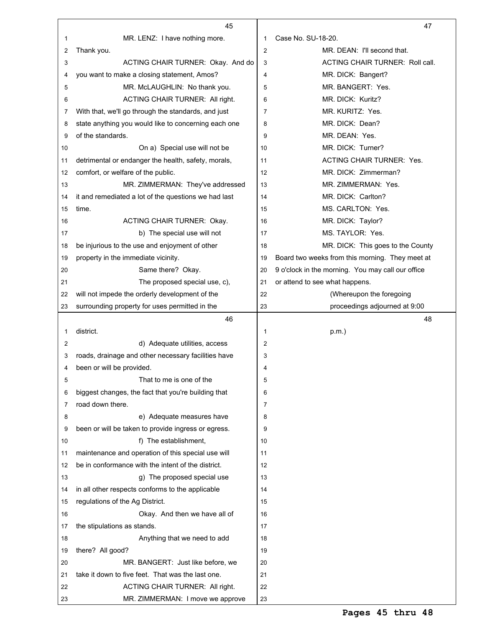|    | 45                                                                                   |                     | 47                                                |
|----|--------------------------------------------------------------------------------------|---------------------|---------------------------------------------------|
| 1  | MR. LENZ: I have nothing more.                                                       | 1                   | Case No. SU-18-20.                                |
| 2  | Thank you.                                                                           | 2                   | MR. DEAN: I'll second that.                       |
| 3  | ACTING CHAIR TURNER: Okay. And do                                                    | 3                   | ACTING CHAIR TURNER: Roll call.                   |
| 4  | you want to make a closing statement, Amos?                                          | 4                   | MR. DICK: Bangert?                                |
| 5  | MR. McLAUGHLIN: No thank you.                                                        | 5                   | MR. BANGERT: Yes.                                 |
| 6  | ACTING CHAIR TURNER: All right.                                                      | 6                   | MR. DICK: Kuritz?                                 |
| 7  | With that, we'll go through the standards, and just                                  | $\overline{7}$      | MR. KURITZ: Yes.                                  |
| 8  | state anything you would like to concerning each one                                 | 8                   | MR. DICK: Dean?                                   |
| 9  | of the standards.                                                                    | 9                   | MR. DEAN: Yes.                                    |
| 10 | On a) Special use will not be                                                        | 10                  | MR. DICK: Turner?                                 |
| 11 | detrimental or endanger the health, safety, morals,                                  | 11                  | <b>ACTING CHAIR TURNER: Yes.</b>                  |
| 12 | comfort, or welfare of the public.                                                   | 12                  | MR. DICK: Zimmerman?                              |
| 13 | MR. ZIMMERMAN: They've addressed                                                     | 13                  | MR. ZIMMERMAN: Yes.                               |
| 14 | it and remediated a lot of the questions we had last                                 | 14                  | MR. DICK: Carlton?                                |
| 15 | time.                                                                                | 15                  | MS. CARLTON: Yes.                                 |
| 16 | <b>ACTING CHAIR TURNER: Okay.</b>                                                    | 16                  | MR. DICK: Taylor?                                 |
| 17 | b) The special use will not                                                          | 17                  | MS. TAYLOR: Yes.                                  |
| 18 | be injurious to the use and enjoyment of other                                       | 18                  | MR. DICK: This goes to the County                 |
| 19 | property in the immediate vicinity.                                                  | 19                  | Board two weeks from this morning. They meet at   |
|    | Same there? Okay.                                                                    | 20                  | 9 o'clock in the morning. You may call our office |
| 20 |                                                                                      |                     |                                                   |
| 21 | The proposed special use, c),                                                        | 21                  | or attend to see what happens.                    |
| 22 | will not impede the orderly development of the                                       | 22                  | (Whereupon the foregoing                          |
| 23 | surrounding property for uses permitted in the                                       | 23                  | proceedings adjourned at 9:00                     |
|    | 46<br>district.                                                                      |                     | 48                                                |
| 1  |                                                                                      | 1<br>$\overline{2}$ | $p.m.$ )                                          |
| 2  | d) Adequate utilities, access<br>roads, drainage and other necessary facilities have |                     |                                                   |
| 3  |                                                                                      | 3                   |                                                   |
| 4  | been or will be provided.<br>That to me is one of the                                | 4                   |                                                   |
| 5  |                                                                                      | 5                   |                                                   |
| 6  | biggest changes, the fact that you're building that                                  | 6                   |                                                   |
| 7  | road down there.                                                                     | $\overline{7}$      |                                                   |
| 8  | e) Adequate measures have                                                            | 8                   |                                                   |
| 9  | been or will be taken to provide ingress or egress.                                  | 9                   |                                                   |
| 10 | f) The establishment,                                                                | 10                  |                                                   |
| 11 | maintenance and operation of this special use will                                   | 11                  |                                                   |
| 12 | be in conformance with the intent of the district.                                   | 12                  |                                                   |
| 13 | g) The proposed special use                                                          | 13                  |                                                   |
| 14 | in all other respects conforms to the applicable                                     | 14                  |                                                   |
| 15 | regulations of the Ag District.                                                      | 15                  |                                                   |
| 16 | Okay. And then we have all of                                                        | 16                  |                                                   |
| 17 | the stipulations as stands.                                                          | 17                  |                                                   |
| 18 | Anything that we need to add                                                         | 18                  |                                                   |
| 19 | there? All good?                                                                     | 19                  |                                                   |
| 20 | MR. BANGERT: Just like before, we                                                    | 20                  |                                                   |
| 21 | take it down to five feet. That was the last one.                                    | 21                  |                                                   |
| 22 | ACTING CHAIR TURNER: All right.                                                      | 22                  |                                                   |
| 23 | MR. ZIMMERMAN: I move we approve                                                     | 23                  |                                                   |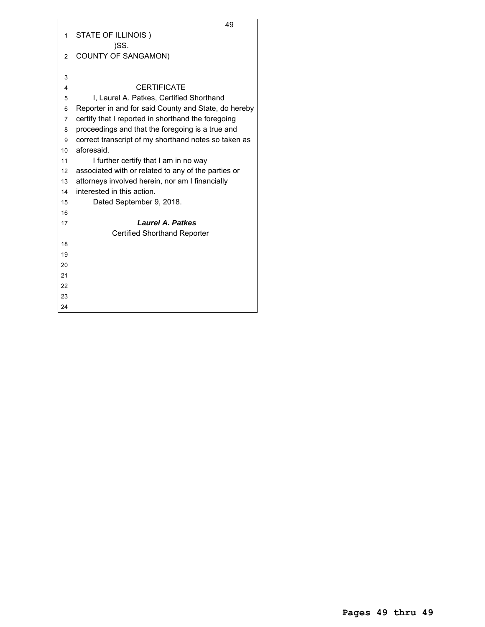|                | 49                                                   |
|----------------|------------------------------------------------------|
| 1              | STATE OF ILLINOIS)                                   |
|                | )SS.                                                 |
| $\overline{2}$ | <b>COUNTY OF SANGAMON)</b>                           |
|                |                                                      |
| 3              |                                                      |
| 4              | <b>CERTIFICATE</b>                                   |
| 5              | I, Laurel A. Patkes, Certified Shorthand             |
| 6              | Reporter in and for said County and State, do hereby |
| $\overline{7}$ | certify that I reported in shorthand the foregoing   |
| 8              | proceedings and that the foregoing is a true and     |
| 9              | correct transcript of my shorthand notes so taken as |
| 10             | aforesaid.                                           |
| 11             | I further certify that I am in no way                |
| 12             | associated with or related to any of the parties or  |
| 13             | attorneys involved herein, nor am I financially      |
| 14             | interested in this action.                           |
| 15             | Dated September 9, 2018.                             |
| 16             |                                                      |
| 17             | <b>Laurel A. Patkes</b>                              |
|                | <b>Certified Shorthand Reporter</b>                  |
| 18             |                                                      |
| 19             |                                                      |
| 20             |                                                      |
| 21             |                                                      |
| 22             |                                                      |
| 23             |                                                      |
| 24             |                                                      |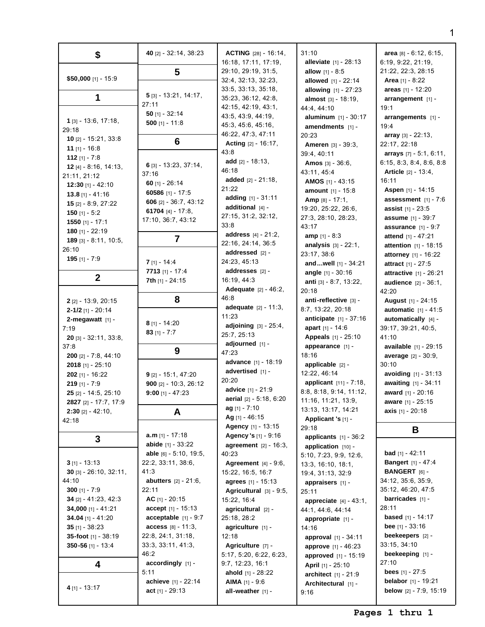| \$                                 | 40 [2] - 32:14, 38:23          | <b>ACTING</b> $[28] - 16:14$ ,  | 31:10                            | area [8] - 6:12, 6:15,          |
|------------------------------------|--------------------------------|---------------------------------|----------------------------------|---------------------------------|
|                                    |                                | 16:18, 17:11, 17:19,            | <b>alleviate</b> $[1] - 28:13$   | 6:19, 9:22, 21:19,              |
|                                    | 5                              | 29:10, 29:19, 31:5,             | <b>allow</b> $[1] - 8:5$         | 21:22, 22:3, 28:15              |
| \$50,000 [1] - 15:9                |                                | 32:4, 32:13, 32:23,             | <b>allowed</b> $[1] - 22:14$     | <b>Area</b> $[1] - 8:22$        |
|                                    |                                | 33:5, 33:13, 35:18,             | allowing [1] - 27:23             | areas $[1] - 12:20$             |
| 1                                  | $5$ [3] - 13:21, 14:17,        | 35:23, 36:12, 42:8,             | <b>almost</b> $[3] - 18:19$ ,    | $arrangement$ [1] -             |
|                                    | 27:11                          | 42:15, 42:19, 43:1,             | 44:4, 44:10                      | 19:1                            |
|                                    | 50 $[1] - 32:14$               | 43:5, 43:9, 44:19,              | aluminum $[1] - 30:17$           | arrangements [1] -              |
| $1$ [3] - 13:6, 17:18,             | 500 [1] - 11:8                 | 45:3, 45:6, 45:16,              | amendments [1] -                 | 19:4                            |
| 29:18                              |                                | 46:22, 47:3, 47:11              | 20:23                            | <b>array</b> $[3] - 22:13$ ,    |
| $10$ [2] - 15:21, 33:8             | 6                              | <b>Acting</b> $[2] - 16:17$ ,   | Ameren [3] - 39:3,               | 22:17, 22:18                    |
| 11 $[1] - 16:8$                    |                                | 43:8                            | 39:4, 40:11                      | arrays $[7] - 5:1, 6:11,$       |
| 112 $[1] - 7:8$                    |                                | add $[2] - 18:13$ ,             |                                  | 6:15, 8:3, 8:4, 8:6, 8:8        |
| 12 $[4] - 8:16$ , 14:13,           | 6 [3] - 13:23, 37:14,          | 46:18                           | <b>Amos</b> $[3] - 36:6$         |                                 |
| 21:11, 21:12                       | 37:16                          | added $[2] - 21:18$ ,           | 43:11, 45:4                      | <b>Article</b> $[2] - 13:4,$    |
| <b>12:30</b> [1] - 42:10           | 60 $[1] - 26:14$               | 21:22                           | <b>AMOS</b> $[1]$ - 43:15        | 16:11                           |
| $13.8$ [1] - 41:16                 | 60586 [1] - 17:5               |                                 | <b>amount</b> $[1] - 15:8$       | <b>Aspen</b> [1] - 14:15        |
| <b>15</b> $[2] - 8:9, 27:22$       | 606 $[2] - 36:7, 43:12$        | adding [1] - 31:11              | Amp [8] - 17:1,                  | assessment $[1] - 7:6$          |
| 150 [1] - $5:2$                    | 61704 [4] - 17:8,              | additional $[4]$ -              | 19:20, 25:22, 26:6,              | <b>assist</b> $[1] - 23:5$      |
| <b>1550</b> [1] - 17:1             | 17:10, 36:7, 43:12             | 27:15, 31:2, 32:12,             | 27:3, 28:10, 28:23,              | <b>assume</b> [1] - 39:7        |
| 180 $[1] - 22:19$                  |                                | 33:8                            | 43:17                            | assurance $[1] - 9:7$           |
| 189 [3] - 8:11, 10:5,              | 7                              | address [4] - 21:2,             | <b>amp</b> $[1] - 8:3$           | attend [1] - 47:21              |
| 26:10                              |                                | 22:16, 24:14, 36:5              | <b>analysis</b> $[3] - 22:1$ ,   | <b>attention</b> $[1] - 18:15$  |
| $195$ [1] - 7:9                    |                                | addressed [2] -                 | 23:17, 38:6                      | attorney [1] - 16:22            |
|                                    | $7$ [1] - 14:4                 | 24:23, 45:13                    | andwell [1] - 34:21              | <b>attract</b> $[1] - 27:5$     |
|                                    | 7713 [1] - 17:4                | addresses [2] -                 | angle [1] - 30:16                | attractive [1] - 26:21          |
| $\mathbf 2$                        | 7th [1] - 24:15                | 16:19, 44:3                     | anti [3] - 8:7, 13:22,           | <b>audience</b> $[2] - 36:1$ ,  |
|                                    |                                | <b>Adequate</b> [2] - 46:2,     | 20:18                            | 42:20                           |
| $2$ [2] - 13:9, 20:15              | 8                              | 46:8                            | anti-reflective [3] -            | <b>August</b> [1] - 24:15       |
| $2 - 1/2$ [1] - 20:14              |                                | <b>adequate</b> $[2] - 11:3$ ,  | 8:7, 13:22, 20:18                | <b>automatic</b> $[1] - 41:5$   |
| 2-megawatt $[1]$ -                 |                                | 11:23                           | <b>anticipate</b> $[1] - 37:16$  | automatically $[4]$ -           |
| 7:19                               | $8$ [1] - 14:20                | <b>adjoining</b> $[3] - 25:4$ , | apart $[1] - 14:6$               | 39:17, 39:21, 40:5,             |
| <b>20</b> [3] - $32:11$ , $33:8$ , | 83 $[1] - 7:7$                 | 25:7, 25:13                     | <b>Appeals</b> [1] - 25:10       | 41:10                           |
| 37:8                               |                                | adjourned [1] -                 | appearance [1] -                 | <b>available</b> $[1] - 29:15$  |
| 200 [2] - 7:8, 44:10               | 9                              | 47:23                           | 18:16                            | average [2] - 30:9,             |
| <b>2018</b> [1] - $25:10$          |                                | <b>advance</b> [1] - 18:19      | applicable [2] -                 | 30:10                           |
| $202$ [1] - 16:22                  | $9$ [2] - 15:1, 47:20          | advertised [1] -                | 12:22, 46:14                     | <b>avoiding</b> $[1] - 31:13$   |
| $219$ [1] - 7:9                    | 900 $[2] - 10:3, 26:12$        | 20:20                           | applicant [11] - 7:18,           | awaiting [1] - 34:11            |
| $25$ [2] - 14:5, 25:10             | $9:00$ [1] - 47:23             | advice [1] - 21:9               | 8:8, 8:18, 9:14, 11:12,          | award [1] - 20:16               |
| 2827 [2] - 17:7, 17:9              |                                | aerial $[2] - 5:18, 6:20$       | 11:16, 11:21, 13:9,              | aware [1] - 25:15               |
| $2:30$ [2] - 42:10,                | A                              | ag [1] - 7:10                   | 13:13, 13:17, 14:21              | axis $[1] - 20:18$              |
| 42:18                              |                                | Ag [1] - 46:15                  | Applicant 's [1] -               |                                 |
|                                    |                                | <b>Agency</b> [1] - 13:15       | 29:18                            | Β                               |
| 3                                  | <b>a.m</b> [1] - 17:18         | Agency 's [1] - 9:16            | applicants $[1] - 36:2$          |                                 |
|                                    | <b>abide</b> $[1] - 33:22$     | <b>agreement</b> $[2] - 16:3$   | application [10] -               |                                 |
|                                    | able $[6] - 5:10, 19:5,$       | 40:23                           | 5:10, 7:23, 9:9, 12:6,           | <b>bad</b> $[1] - 42:11$        |
| $3$ [1] - 13:13                    | 22:2, 33:11, 38:6,             | <b>Agreement</b> $[4] - 9:6$ ,  | 13:3, 16:10, 18:1,               | <b>Bangert</b> [1] - 47:4       |
| $30$ [3] - 26:10, 32:11,           | 41:3                           | 15:22, 16:5, 16:7               | 19:4, 31:13, 32:9                | <b>BANGERT</b> [6] -            |
| 44:10                              | <b>abutters</b> $[2] - 21:6$ , | agrees [1] - 15:13              | appraisers [1] -                 | 34:12, 35:6, 35:9,              |
| 300 [1] - $7:9$                    | 22:11                          | Agricultural [3] - 9:5,         | 25:11                            | 35:12, 46:20, 47:5              |
| 34 [2] - 41:23, 42:3               | AC $[1] - 20:15$               | 15:22, 16:4                     | <b>appreciate</b> $[4] - 43:1$ , | <b>barricades</b> $[1]$ -       |
| 34,000 [1] - 41:21                 | $accept [1] - 15:13$           | agricultural [2] -              | 44:1, 44:6, 44:14                | 28:11                           |
| 34.04 [1] - 41:20                  | acceptable $[1] - 9:7$         | 25:18, 28:2                     | appropriate $[1]$ -              | <b>based</b> $[1] - 14:17$      |
| 35 [1] - $38:23$                   | $access [8] - 11:3,$           | agriculture $[1]$ -             | 14:16                            | <b>bee</b> $[1] - 33:16$        |
| 35-foot $[1] - 38:19$              | 22:8, 24:1, 31:18,             | 12:18                           | <b>approval</b> $[1]$ - 34:11    | beekeepers $[2]$ -              |
| 350-56 [1] - 13:4                  | 33:3, 33:11, 41:3,             | Agriculture [7] -               | approve [1] - 46:23              | 33:15, 34:10                    |
|                                    | 46:2                           | 5:17, 5:20, 6:22, 6:23,         | approved [1] - 15:19             | beekeeping [1] -                |
| 4                                  | $accordingly$ [1] -            | 9:7, 12:23, 16:1                | <b>April</b> [1] - 25:10         | 27:10                           |
|                                    | 5:11                           | ahold $[1] - 28:22$             | <b>architect</b> $[1] - 21:9$    | <b>bees</b> $[1] - 27:5$        |
|                                    | achieve [1] - 22:14            | <b>AIMA</b> $[1]$ - 9:6         | Architectural [1] -              | <b>belabor</b> $[1] - 19:21$    |
| 4 [1] - 13:17                      | act $[1] - 29:13$              | all-weather $[1]$ -             | 9:16                             | <b>below</b> $[2] - 7:9, 15:19$ |
|                                    |                                |                                 |                                  |                                 |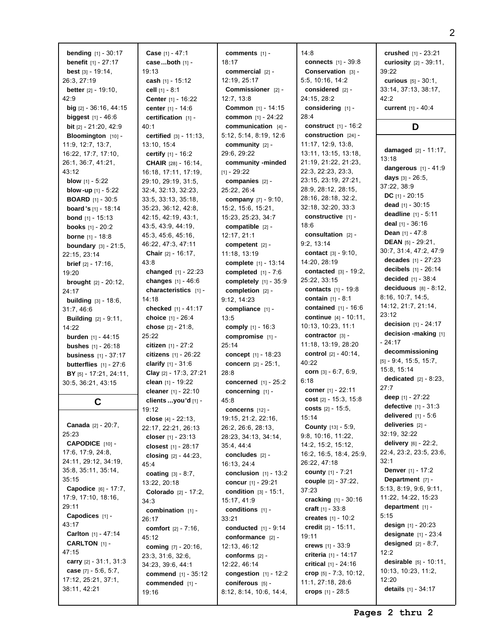**bending** [1] - 30:17 **benefit** [1] - 27:17 **best** [3] - 19:14, 26:3, 27:19 **better** [2] - 19:10, 42:9 **big** [2] - 36:16, 44:15 **biggest** [1] - 46:6 **bit** [2] - 21:20, 42:9 **Bloomington** [10] - 11:9, 12:7, 13:7, 16:22, 17:7, 17:10, 26:1, 36:7, 41:21, 43:12 **blow** [1] - 5:22 **blow -up** [1] - 5:22 **BOARD** [1] - 30:5 **board 's** [1] - 18:14 **bond** [1] - 15:13 **books** [1] - 20:2 **borne** [1] - 18:8 **boundary** [3] - 21:5, 22:15, 23:14 **brief** [2] - 17:16, 19:20 **brought** [2] - 20:12,  $24.17$ **building** [3] - 18:6, 31:7, 46:6 **Building** [2] - 9:11, 14:22 **burden** [1] - 44:15 **bushes** [1] - 26:18 **business** [1] - 37:17 **butterflies** [1] - 27:6 **BY** [5] - 17:21, 24:11, 30:5, 36:21, 43:15 **C Canada** [2] - 20:7, 25:23 **CAPODICE** [10] - 17:6, 17:9, 24:8, 24:11, 29:12, 34:19, 35:8, 35:11, 35:14, 35:15 **Capodice** [6] - 17:7, 17:9, 17:10, 18:16, 29:11 **Capodices** [1] - 43:17 **Carlton** [1] - 47:14 **CARLTON** [1] -  $47.15$ **carry** [2] - 31:1, 31:3 **case** [7] - 5:6, 5:7, 17:12, 25:21, 37:1,

38:11, 42:21

**Case** [1] - 47:1 **case...both** [1] - 19:13 **cash** [1] - 15:12 **cell** [1] - 8:1 **Center** [1] - 16:22 **center** [1] - 14:6 **certification** [1] - 40:1 **certified** [3] - 11:13, 13:10, 15:4 **certify** [1] - 16:2 **CHAIR** [28] - 16:14, 16:18, 17:11, 17:19, 29:10, 29:19, 31:5, 32:4, 32:13, 32:23, 33:5, 33:13, 35:18, 35:23, 36:12, 42:8, 42:15, 42:19, 43:1, 43:5, 43:9, 44:19, 45:3, 45:6, 45:16, 46:22, 47:3, 47:11 **Chair** [2] - 16:17, 43:8 **changed** [1] - 22:23 **changes** [1] - 46:6 **characteristics** [1] - 14:18 **checked** [1] - 41:17 **choice** [1] - 26:4 **chose** [2] - 21:8, 25:22 **citizen** [1] - 27:2 **citizens** [1] - 26:22 **clarify** [1] - 31:6 **Clay** [2] - 17:3, 27:21 **clean** [1] - 19:22 **cleaner** [1] - 22:10 **clients ...you'd** [1] - 19:12 **close** [4] - 22:13, 22:17, 22:21, 26:13 **closer** [1] - 23:13 **closest** [1] - 28:17 **closing** [2] - 44:23, 45:4 **coating** [3] - 8:7, 13:22, 20:18 **Colorado** [2] - 17:2, 34:3 **combination** [1] - 26:17 **comfort** [2] - 7:16, 45:12 **coming** [7] - 20:16, 23:3, 31:6, 32:6, 34:23, 39:6, 44:1 **commend** [1] - 35:12 **commended** [1] - 19:16

**comments** [1] - 18:17 **commercial** [2] - 12:19, 25:17 **Commissioner** [2] - 12:7, 13:8 **Common** [1] - 14:15 **common** [1] - 24:22 **communication** [4] - 5:12, 5:14, 8:19, 12:6 **community** [2] - 29:6, 29:22 **community -minded**  $[1] - 29:22$ **companies** [2] - 25:22, 26:4 **company** [7] - 9:10, 15:2, 15:6, 15:21, 15:23, 25:23, 34:7 **compatible** [2] - 12:17, 21:1 **competent** [2] - 11:18, 13:19 **complete** [1] - 13:14 **completed** [1] - 7:6 **completely** [1] - 35:9 **completion** [2] - 9:12, 14:23 **compliance** [1] - 13:5 **comply** [1] - 16:3 **compromise** [1] - 25:14 **concept** [1] - 18:23 **concern** [2] - 25:1, 28:8 **concerned** [1] - 25:2 **concerning** [1] - 45:8 **concerns** [12] - 19:15, 21:2, 22:16, 26:2, 26:6, 28:13, 28:23, 34:13, 34:14, 35:4, 44:4 **concludes** [2] - 16:13, 24:4 **conclusion** [1] - 13:2 **concur** [1] - 29:21 **condition** [3] - 15:1, 15:17, 41:9 **conditions** [1] - 33:21 **conducted** [1] - 9:14 **conformance** [2] - 12:13, 46:12 **conforms** [2] - 12:22, 46:14 **congestion** [1] - 12:2 **coniferous** [5] - 8:12, 8:14, 10:6, 14:4,

14:8 **connects** [1] - 39:8 **Conservation** [3] - 5:5, 10:16, 14:2 **considered** [2] - 24:15, 28:2 **considering** [1] - 28:4 **construct** [1] - 16:2 **construction** [24] - 11:17, 12:9, 13:8, 13:11, 13:15, 13:18, 21:19, 21:22, 21:23, 22:3, 22:23, 23:3, 23:15, 23:19, 27:21, 28:9, 28:12, 28:15, 28:16, 28:18, 32:2, 32:18, 32:20, 33:3 **constructive** [1] - 18:6 **consultation** [2] - 9:2, 13:14 **contact** [3] - 9:10, 14:20, 28:19 **contacted** [3] - 19:2, 25:22, 33:15 **contacts** [1] - 19:8 **contain** [1] - 8:1 **contained** [1] - 16:6 **continue** [4] - 10:11, 10:13, 10:23, 11:1 **contractor** [3] - 11:18, 13:19, 28:20 **control** [2] - 40:14, 40:22 **corn** [3] - 6:7, 6:9, 6:18 **corner** [1] - 22:11 **cost** [2] - 15:3, 15:8 **costs** [2] - 15:5, 15:14 **County** [13] - 5:9, 9:8, 10:16, 11:22, 14:2, 15:2, 15:12, 16:2, 16:5, 18:4, 25:9, 26:22, 47:18 **county** [1] - 7:21 **couple** [2] - 37:22, 37:23 **cracking** [1] - 30:16 **craft** [1] - 33:8 **creates** [1] - 10:2 **credit** [2] - 15:11, 19:11 **crews** [1] - 33:9 **criteria** [1] - 14:17 **critical** [1] - 24:16 **crop** [5] - 7:3, 10:12, 11:1, 27:18, 28:6 **crops** [1] - 28:5

**crushed** [1] - 23:21 **curiosity** [2] - 39:11, 39:22 **curious** [5] - 30:1, 33:14, 37:13, 38:17, 42:2 **current** [1] - 40:4

### **D**

**damaged** [2] - 11:17, 13:18 **dangerous** [1] - 41:9 **days** [3] - 26:5, 37:22, 38:9 **DC** [1] - 20:15 **dead** [1] - 30:15 **deadline** [1] - 5:11 **deal** [1] - 36:16 **Dean** [1] - 47:8 **DEAN** [5] - 29:21, 30:7, 31:4, 47:2, 47:9 **decades** [1] - 27:23 **decibels** [1] - 26:14 **decided** [1] - 38:4 **deciduous** [8] - 8:12, 8:16, 10:7, 14:5, 14:12, 21:7, 21:14, 23:12 **decision** [1] - 24:17 **decision -making** [1] - 24:17 **decommissioning** [5] - 9:4, 15:5, 15:7, 15:8, 15:14 **dedicated** [2] - 8:23, 27:7 **deep** [1] - 27:22 **defective** [1] - 31:3 **delivered** [1] - 5:6 **deliveries** [2] - 32:19, 32:22 **delivery** [6] - 22:2, 22:4, 23:2, 23:5, 23:6, 32:1 **Denver** [1] - 17:2 **Department** [7] - 5:13, 8:19, 9:6, 9:11, 11:22, 14:22, 15:23 **department** [1] - 5:15 **design** [1] - 20:23 **designate** [1] - 23:4 **designed** [2] - 8:7,  $12.2$ **desirable** [5] - 10:11, 10:13, 10:23, 11:2,  $12.20$ **details** [1] - 34:17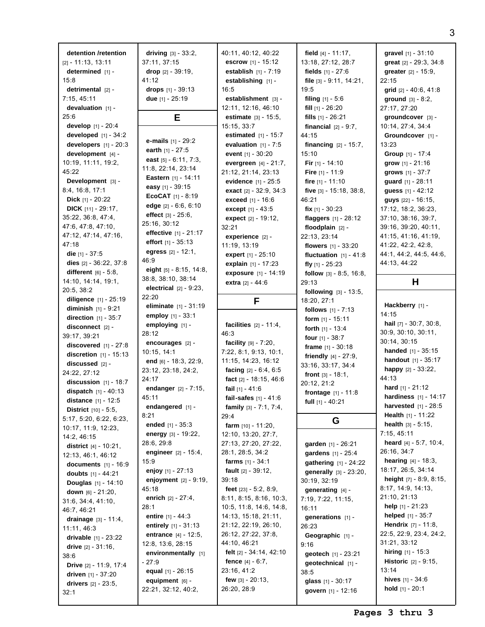**detention /retention** [2] - 11:13, 13:11 **determined** [1] -15:8 **detrimental** [2] - 7:15, 45:11 **devaluation** [1] - 25:6 **develop** [1] - 20:4 **developed** [1] - 34:2 **developers** [1] - 20:3 **development** [4] - 10:19, 11:11, 19:2, 45:22 **Development** [3] - 8:4, 16:8, 17:1 **Dick** [1] - 20:22 **DICK** [11] - 29:17, 35:22, 36:8, 47:4, 47:6, 47:8, 47:10, 47:12, 47:14, 47:16, 47:18 **die** [1] - 37:5 **dies** [2] - 36:22, 37:8 **different** [6] - 5:8, 14:10, 14:14, 19:1, 20:5, 38:2 **diligence** [1] - 25:19 **diminish** [1] - 9:21 **direction** [1] - 35:7 **disconnect** [2] - 39:17, 39:21 **discovered** [1] - 27:8 **discretion** [1] - 15:13 **discussed** [2] - 24:22, 27:12 **discussion** [1] - 18:7 **dispatch** [1] - 40:13 **distance** [1] - 12:5 **District** [10] - 5:5, 5:17, 5:20, 6:22, 6:23, 10:17, 11:9, 12:23, 14:2, 46:15 **district** [4] - 10:21, 12:13, 46:1, 46:12 **documents** [1] - 16:9 **doubts** [1] - 44:21 **Douglas** [1] - 14:10 **down** [6] - 21:20, 31:6, 34:4, 41:10, 46:7, 46:21 **drainage** [3] - 11:4, 11:11, 46:3 **drivable** [1] - 23:22 **drive** [2] - 31:16, 38:6 **Drive** [2] - 11:9, 17:4 **driven** [1] - 37:20 **drivers** [2] - 23:5, 32:1

**driving** [3] - 33:2, 37:11, 37:15 **drop** [2] - 39:19, 41:12 **drops** [1] - 39:13 **due** [1] - 25:19 **E e-mails** [1] - 29:2 **earth** [1] - 27:5 **east** [5] - 6:11, 7:3, 11:8, 22:14, 23:14 **Eastern** [1] - 14:11 **easy** [1] - 39:15 **EcoCAT** [1] - 8:19 **edge** [2] - 6:6, 6:10 **effect** [3] - 25:6, 25:16, 30:12 **effective** [1] - 21:17 **effort** [1] - 35:13 **egress** [2] - 12:1, 46:9 **eight** [5] - 8:15, 14:8, 38:8, 38:10, 38:14 **electrical** [2] - 9:23, 22:20 **eliminate** [1] - 31:19 **employ** [1] - 33:1 **employing** [1] - 28:12 **encourages** [2] - 10:15, 14:1 **end** [6] - 18:3, 22:9, 23:12, 23:18, 24:2,  $24.17$ **endanger** [2] - 7:15, 45:11 **endangered** [1] - 8:21 **ended** [1] - 35:3 **energy** [3] - 19:22, 28:6, 29:8 **engineer** [2] - 15:4, 15:9 **enjoy** [1] - 27:13 **enjoyment** [2] - 9:19, 45:18 **enrich** [2] - 27:4, 28:1 **entire** [1] - 44:3 **entirely** [1] - 31:13 **entrance** [4] - 12:5, 12:8, 13:6, 28:15 **environmentally** [1] - 27:9 **equal** [1] - 26:15 **equipment** [6] - 22:21, 32:12, 40:2, 16:5 46:3

40:11, 40:12, 40:22 **escrow** [1] - 15:12 **establish** [1] - 7:19 **establishing** [1] **establishment** [3] -12:11, 12:16, 46:10 **estimate** [3] - 15:5, 15:15, 33:7 **estimated** [1] - 15:7 **evaluation** [1] - 7:5 **event** [1] - 30:20 **evergreen** [4] - 21:7, 21:12, 21:14, 23:13 **evidence** [1] - 25:5 **exact** [2] - 32:9, 34:3 **exceed** [1] - 16:6 **except** [1] - 43:5 **expect** [2] - 19:12, 32:21 **experience** [2] - 11:19, 13:19 **expert** [1] - 25:10 **explain** [1] - 17:23 **exposure** [1] - 14:19 **extra** [2] - 44:6 **F facilities** [2] - 11:4, **facility** [9] - 7:20, 7:22, 8:1, 9:13, 10:1, 11:15, 14:23, 16:12 **facing** [2] - 6:4, 6:5 **fact** [2] - 18:15, 46:6 **fail** [1] - 41:6 **fail-safes** [1] - 41:6 **family** [3] - 7:1, 7:4, 29:4 **farm** [10] - 11:20, 12:10, 13:20, 27:7, 27:13, 27:20, 27:22, 28:1, 28:5, 34:2 **farms** [1] - 34:1 **fault** [2] - 39:12, 39:18 **feet** [23] - 5:2, 8:9, 8:11, 8:15, 8:16, 10:3, 10:5, 11:8, 14:6, 14:8, 14:13, 15:18, 21:11, 21:12, 22:19, 26:10, 26:12, 27:22, 37:8, 44:10, 46:21 **felt** [2] - 34:14, 42:10 **fence** [4] - 6:7, 23:16, 41:2 **few** [3] - 20:13, 26:20, 28:9

**field** [4] - 11:17, 13:18, 27:12, 28:7 **fields** [1] - 27:6 **file** [3] - 9:11, 14:21, 19:5 **filing** [1] - 5:6 **fill** [1] - 26:20 **fills** [1] - 26:21 **financial** [2] - 9:7, 44:15 **financing** [2] - 15:7, 15:10 **Fir** [1] - 14:10 **Fire** [1] - 11:9 **fire** [1] - 11:10 **five** [3] - 15:18, 38:8, 46:21 **fix** [1] - 30:23 **flaggers** [1] - 28:12 **floodplain** [2] - 22:13, 23:14 **flowers** [1] - 33:20 **fluctuation** [1] - 41:8 **fly** [1] - 25:23 **follow** [3] - 8:5, 16:8, 29:13 **following** [3] - 13:5, 18:20, 27:1 **follows** [1] - 7:13 **form** [1] - 15:11 **forth** [1] - 13:4 **four** [1] - 38:7 **frame** [1] - 30:18 **friendly** [4] - 27:9, 33:16, 33:17, 34:4 **front** [3] - 18:1, 20:12, 21:2 **frontage** [1] - 11:8 **full** [1] - 40:21 **G garden** [1] - 26:21 **gardens** [1] - 25:4 **gathering** [1] - 24:22 **generally** [3] - 23:20, 30:19, 32:19 **generating** [4] - 7:19, 7:22, 11:15, 16:11 **generations** [1] - 26:23

**Geographic** [1] -

**geotech** [1] - 23:21 **geotechnical** [1] -

**glass** [1] - 30:17 **govern** [1] - 12:16

9:16

38:5

**gravel** [1] - 31:10 **great** [2] - 29:3, 34:8 **greater** [2] - 15:9, 22:15 **grid** [2] - 40:6, 41:8 **ground** [3] - 8:2, 27:17, 27:20 **groundcover** [3] - 10:14, 27:4, 34:4 **Groundcover** [1] - 13:23 **Group** [1] - 17:4 **grow** [1] - 21:16 **grows** [1] - 37:7 **guard** [1] - 28:11 **guess** [1] - 42:12 **guys** [22] - 16:15, 17:12, 18:2, 36:23, 37:10, 38:16, 39:7, 39:16, 39:20, 40:11, 41:15, 41:16, 41:19, 41:22, 42:2, 42:8, 44:1, 44:2, 44:5, 44:6, 44:13, 44:22

## **H**

**Hackberry** [1] - 14:15 **hail** [7] - 30:7, 30:8, 30:9, 30:10, 30:11, 30:14, 30:15 **handed** [1] - 35:15 **handout** [1] - 35:17 **happy** [2] - 33:22, 44:13 **hard** [1] - 21:12 **hardiness** [1] - 14:17 **harvested** [1] - 28:5 **Health** [1] - 11:22 **health** [3] - 5:15, 7:15, 45:11 **heard** [4] - 5:7, 10:4, 26:16, 34:7 **hearing** [4] - 18:3, 18:17, 26:5, 34:14 **height** [7] - 8:9, 8:15, 8:17, 14:9, 14:13, 21:10, 21:13 **help** [1] - 21:23 **helped** [1] - 35:7 **Hendrix** [7] - 11:8, 22:5, 22:9, 23:4, 24:2, 31:21, 33:12 **hiring** [1] - 15:3 **Historic** [2] - 9:15, 13:14 **hives** [1] - 34:6 **hold** [1] - 20:1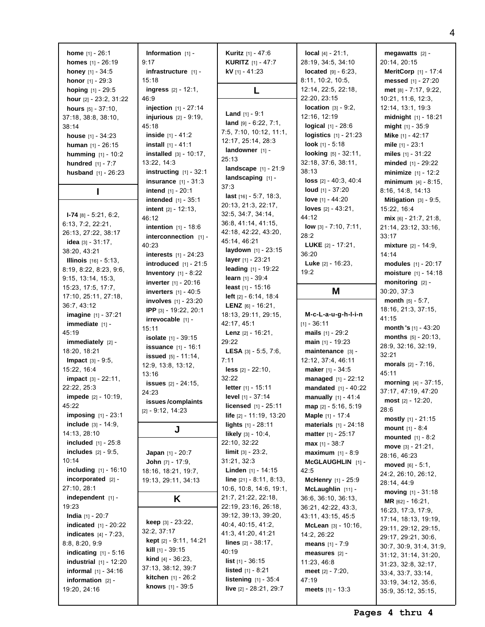**home** [1] - 26:1 **homes** [1] - 26:19 **honey** [1] - 34:5 **honor** [1] - 29:3 **hoping** [1] - 29:5 **hour** [2] - 23:2, 31:22 **hours** [5] - 37:10, 37:18, 38:8, 38:10, 38:14 **house** [1] - 34:23 **human** [1] - 26:15 **humming** [1] - 10:2 **hundred** [1] - 7:7 **husband** [1] - 26:23 **I I-74** [8] - 5:21, 6:2, 6:13, 7:2, 22:21, 26:13, 27:22, 38:17 **idea** [3] - 31:17, 38:20, 43:21 **Illinois** [16] - 5:13, 8:19, 8:22, 8:23, 9:6, 9:15, 13:14, 15:3, 15:23, 17:5, 17:7, 17:10, 25:11, 27:18, 36:7, 43:12 **imagine** [1] - 37:21 **immediate** [1] -45:19 **immediately** [2] -18:20, 18:21 **Impact** [3] - 9:5, 15:22, 16:4 **impact** [3] - 22:11, 22:22, 25:3 **impede** [2] - 10:19, 45:22 **imposing** [1] - 23:1 **include** [3] - 14:9, 14:13, 28:10 **included** [1] - 25:8 **includes** [2] - 9:5, 10:14 **including** [1] - 16:10 **incorporated** [2] - 27:10, 28:1 **independent** [1] - 19:23 **India** [1] - 20:7 **indicated** [1] - 20:22 **indicates** [4] - 7:23, 8:8, 8:20, 9:9 **indicating** [1] - 5:16 **industrial** [1] - 12:20 **informal** [1] - 34:16 **information** [2] - 19:20, 24:16

**Information** [1] - 9:17 **infrastructure** [1] - 15:18 **ingress** [2] - 12:1, 46:9 **injection** [1] - 27:14 **injurious** [2] - 9:19, 45:18 **inside** [1] - 41:2 **install** [1] - 41:1 **installed** [3] - 10:17, 13:22, 14:3 **instructing** [1] - 32:1 **insurance** [1] - 31:3 **intend** [1] - 20:1 **intended** [1] - 35:1 **intent** [2] - 12:13, 46:12 **intention** [1] - 18:6 **interconnection** [1] -40:23 **interests** [1] - 24:23 **introduced** [1] - 21:5 **Inventory** [1] - 8:22 **inverter** [1] - 20:16 **inverters** [1] - 40:5 **involves** [1] - 23:20 **IPP** [3] - 19:22, 20:1 **irrevocable** [1] - 15:11 **isolate** [1] - 39:15 **issuance** [1] - 16:1 **issued** [5] - 11:14, 12:9, 13:8, 13:12, 13:16 **issues** [2] - 24:15, 24:23 **issues /complaints** [2] - 9:12, 14:23 **J Japan** [1] - 20:7 **John** [7] - 17:9, 18:16, 18:21, 19:7, 19:13, 29:11, 34:13 **K keep** [3] - 23:22, 32:2, 37:17 **kept** [2] - 9:11, 14:21 **kill** [1] - 39:15 **kind** [4] - 36:23, 37:13, 38:12, 39:7 **kitchen** [1] - 26:2 **knows** [1] - 39:5

**Kuritz** [1] - 47:6 **KURITZ** [1] - 47:7 **kV** [1] - 41:23 **L Land** [1] - 9:1 **land** [9] - 6:22, 7:1, 7:5, 7:10, 10:12, 11:1, 12:17, 25:14, 28:3 **landowner** [1] -25:13 **landscape** [1] - 21:9 **landscaping** [1] - 37:3 **last** [16] - 5:7, 18:3, 20:13, 21:3, 22:17, 32:5, 34:7, 34:14, 36:8, 41:14, 41:15, 42:18, 42:22, 43:20, 45:14, 46:21 **laydown** [1] - 23:15 **layer** [1] - 23:21 **leading** [1] - 19:22 **learn** [1] - 39:4 **least** [1] - 15:16 **left** [2] - 6:14, 18:4 **LENZ** [6] - 16:21, 18:13, 29:11, 29:15, 42:17, 45:1 **Lenz** [2] - 16:21, 29:22 **LESA** [3] - 5:5, 7:6, 7:11 **less** [2] - 22:10, 32:22 **letter** [1] - 15:11 **level** [1] - 37:14 **licensed** [1] - 25:11 **life** [2] - 11:19, 13:20 **lights** [1] - 28:11 **likely** [3] - 10:4, 22:10, 32:22 **limit** [3] - 23:2, 31:21, 32:3 **Linden** [1] - 14:15 **line** [21] - 8:11, 8:13, 10:6, 10:8, 14:6, 19:1, 21:7, 21:22, 22:18, 22:19, 23:16, 26:18, 39:12, 39:13, 39:20, 40:4, 40:15, 41:2, 41:3, 41:20, 41:21 **lines** [2] - 38:17,  $40.19$ **list** [1] - 36:15 **listed** [1] - 8:21 **listening** [1] - 35:4 **live** [2] - 28:21, 29:7

**local** [4] - 21:1, 28:19, 34:5, 34:10 **located**  $[9] - 6:23$ . 8:11, 10:2, 10:5, 12:14, 22:5, 22:18, 22:20, 23:15 **location** [3] - 9:2, 12:16, 12:19 **logical** [1] - 28:6 **logistics** [1] - 21:23 **look** [1] - 5:18 **looking** [5] - 32:11, 32:18, 37:6, 38:11, 38:13 **loss** [2] - 40:3, 40:4 **loud** [1] - 37:20 **love** [1] - 44:20 **loves** [2] - 43:21, 44:12 **low** [3] - 7:10, 7:11, 28:2 **LUKE** [2] - 17:21, 36:20 **Luke** [2] - 16:23, 19:2 **M**

**M-c-L-a-u-g-h-l-i-n**  $[1] - 36:11$ **mails** [1] - 29:2 **main** [1] - 19:23 **maintenance** [3] - 12:12, 37:4, 46:11 **maker** [1] - 34:5 **managed** [1] - 22:12 **mandated** [1] - 40:22 **manually** [1] - 41:4 **map** [2] - 5:16, 5:19 **Maple** [1] - 17:4 **materials** [1] - 24:18 **matter** [1] - 25:17 **max** [1] - 38:7 **maximum** [1] - 8:9 **McGLAUGHLIN** [1] -  $42.5$ **McHenry** [1] - 25:9 **McLaughlin** [11] - 36:6, 36:10, 36:13, 36:21, 42:22, 43:3, 43:11, 43:15, 45:5 **McLean** [3] - 10:16, 14:2, 26:22 **means** [1] - 7:9 **measures** [2] - 11:23, 46:8 **meet** [2] - 7:20, 47:19 **meets** [1] - 13:3

**megawatts** [2] - 20:14, 20:15 **MeritCorp** [1] - 17:4 **messed** [1] - 27:20 **met** [8] - 7:17, 9:22, 10:21, 11:6, 12:3, 12:14, 13:1, 19:3 **midnight** [1] - 18:21 **might** [1] - 35:9 **Mike** [1] - 42:17 **mile** [1] - 23:1 **miles** [1] - 31:22 **minded** [1] - 29:22 **minimize** [1] - 12:2 **minimum** [4] - 8:15, 8:16, 14:8, 14:13 **Mitigation** [3] - 9:5, 15:22, 16:4 **mix** [6] - 21:7, 21:8, 21:14, 23:12, 33:16, 33:17 **mixture** [2] - 14:9, 14:14 **modules** [1] - 20:17 **moisture** [1] - 14:18 **monitoring** [2] - 30:20, 37:3 **month** [5] - 5:7, 18:16, 21:3, 37:15, 41:15 **month 's** [1] - 43:20 **months** [5] - 20:13, 28:9, 32:16, 32:19, 32:21 **morals** [2] - 7:16, 45:11 **morning** [4] - 37:15, 37:17, 47:19, 47:20 **most** [2] - 12:20, 28:6 **mostly** [1] - 21:15 **mount** [1] - 8:4 **mounted** [1] - 8:2 **move** [3] - 21:21, 28:16, 46:23 **moved** [6] - 5:1, 24:2, 26:10, 26:12, 28:14, 44:9 **moving** [1] - 31:18 **MR** [62] - 16:21, 16:23, 17:3, 17:9, 17:14, 18:13, 19:19, 29:11, 29:12, 29:15, 29:17, 29:21, 30:6, 30:7, 30:9, 31:4, 31:9, 31:12, 31:14, 31:20, 31:23, 32:8, 32:17, 33:4, 33:7, 33:14, 33:19, 34:12, 35:6, 35:9, 35:12, 35:15,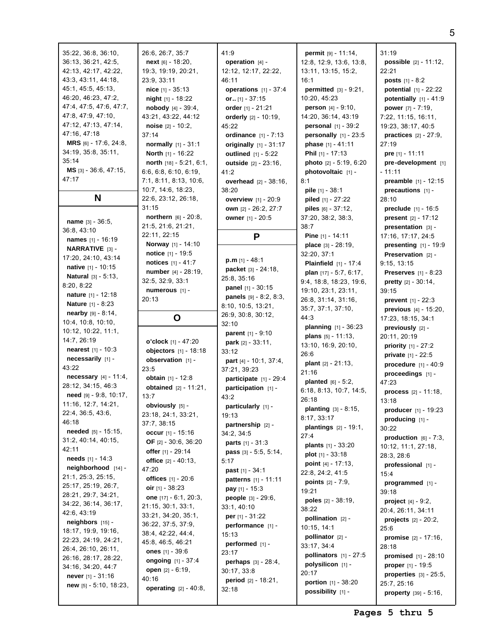| 35:22, 36:8, 36:10,<br>36:13, 36:21, 42:5,<br>42:13, 42:17, 42:22,<br>43:3, 43:11, 44:18,<br>45:1, 45:5, 45:13,<br>46:20, 46:23, 47:2,<br>47:4, 47:5, 47:6, 47:7,<br>47:8, 47:9, 47:10,<br>47:12, 47:13, 47:14,<br>47:16, 47:18<br>MRS [6] - 17:6, 24:8,<br>34:19, 35:8, 35:11,<br>35:14<br>$MS$ [3] - 36:6, 47:15,<br>47:17 | 26:6, 26:7, 35:7<br>next [6] - 18:20,<br>19:3, 19:19, 20:21,<br>23:9, 33:11<br>nice $[1] - 35:13$<br><b>night</b> $[1]$ - 18:22<br><b>nobody</b> $[4] - 39:4$ ,<br>43:21, 43:22, 44:12<br>noise $[2] - 10:2$ ,<br>37:14<br><b>normally</b> $[1] - 31:1$<br>North [1] - 16:22<br>north [18] - 5:21, 6:1,<br>6:6, 6:8, 6:10, 6:19,<br>7:1, 8:11, 8:13, 10:6,<br>10:7, 14:6, 18:23, | $\overline{\phantom{a}}$<br>۷<br>$\overline{\phantom{a}}$<br>۷<br>ć |
|------------------------------------------------------------------------------------------------------------------------------------------------------------------------------------------------------------------------------------------------------------------------------------------------------------------------------|----------------------------------------------------------------------------------------------------------------------------------------------------------------------------------------------------------------------------------------------------------------------------------------------------------------------------------------------------------------------------------|---------------------------------------------------------------------|
| N                                                                                                                                                                                                                                                                                                                            | 22:6, 23:12, 26:18,<br>31:15                                                                                                                                                                                                                                                                                                                                                     |                                                                     |
| <b>name</b> [3] - 36:5,<br>36:8, 43:10                                                                                                                                                                                                                                                                                       | <b>northern</b> $[6] - 20:8$ ,<br>21:5, 21:6, 21:21,                                                                                                                                                                                                                                                                                                                             |                                                                     |
| <b>names</b> [1] - 16:19                                                                                                                                                                                                                                                                                                     | 22:11, 22:15<br>Norway [1] - 14:10                                                                                                                                                                                                                                                                                                                                               |                                                                     |
| NARRATIVE [3] -                                                                                                                                                                                                                                                                                                              | notice [1] - 19:5                                                                                                                                                                                                                                                                                                                                                                |                                                                     |
| 17:20, 24:10, 43:14                                                                                                                                                                                                                                                                                                          | notices [1] - 41:7                                                                                                                                                                                                                                                                                                                                                               |                                                                     |
| native [1] - 10:15<br>Natural [3] - 5:13,                                                                                                                                                                                                                                                                                    | number [4] - 28:19,                                                                                                                                                                                                                                                                                                                                                              |                                                                     |
| 8:20, 8:22                                                                                                                                                                                                                                                                                                                   | 32:5, 32:9, 33:1                                                                                                                                                                                                                                                                                                                                                                 | 2                                                                   |
| nature [1] - 12:18                                                                                                                                                                                                                                                                                                           | numerous [1] -<br>20:13                                                                                                                                                                                                                                                                                                                                                          |                                                                     |
| Nature [1] - 8:23                                                                                                                                                                                                                                                                                                            |                                                                                                                                                                                                                                                                                                                                                                                  | ξ                                                                   |
| nearby [9] - 8:14,                                                                                                                                                                                                                                                                                                           | O                                                                                                                                                                                                                                                                                                                                                                                | 2                                                                   |
| 10:4, 10:8, 10:10,<br>10:12, 10:22, 11:1,                                                                                                                                                                                                                                                                                    |                                                                                                                                                                                                                                                                                                                                                                                  | ă                                                                   |
|                                                                                                                                                                                                                                                                                                                              |                                                                                                                                                                                                                                                                                                                                                                                  |                                                                     |
|                                                                                                                                                                                                                                                                                                                              |                                                                                                                                                                                                                                                                                                                                                                                  |                                                                     |
| 14:7, 26:19                                                                                                                                                                                                                                                                                                                  | o'clock [1] - 47:20                                                                                                                                                                                                                                                                                                                                                              |                                                                     |
| <b>nearest</b> $[1] - 10:3$<br>necessarily [1] -                                                                                                                                                                                                                                                                             | objectors [1] - 18:18<br>observation [1] -                                                                                                                                                                                                                                                                                                                                       | ć                                                                   |
| 43:22                                                                                                                                                                                                                                                                                                                        | 23:5                                                                                                                                                                                                                                                                                                                                                                             | ă                                                                   |
| <b>necessary</b> $[4] - 11:4$ ,                                                                                                                                                                                                                                                                                              | <b>obtain</b> $[1] - 12:8$                                                                                                                                                                                                                                                                                                                                                       |                                                                     |
| 28:12, 34:15, 46:3                                                                                                                                                                                                                                                                                                           | obtained [2] - 11:21,                                                                                                                                                                                                                                                                                                                                                            |                                                                     |
| need [9] - 9:8, 10:17,                                                                                                                                                                                                                                                                                                       | 13:7                                                                                                                                                                                                                                                                                                                                                                             | $\overline{\phantom{a}}$                                            |
| 11:16, 12:7, 14:21,                                                                                                                                                                                                                                                                                                          | obviously [5] -                                                                                                                                                                                                                                                                                                                                                                  |                                                                     |
| 22:4, 36:5, 43:6,<br>46:18                                                                                                                                                                                                                                                                                                   | 23:18, 24:1, 33:21,                                                                                                                                                                                                                                                                                                                                                              |                                                                     |
| <b>needed</b> $[5] - 15:15$ ,                                                                                                                                                                                                                                                                                                | 37:7, 38:15                                                                                                                                                                                                                                                                                                                                                                      |                                                                     |
| 31:2, 40:14, 40:15,                                                                                                                                                                                                                                                                                                          | occur $[1] - 15:16$<br>OF [2] - 30:6, 36:20                                                                                                                                                                                                                                                                                                                                      | ć                                                                   |
| 42:11                                                                                                                                                                                                                                                                                                                        | offer [1] - 29:14                                                                                                                                                                                                                                                                                                                                                                |                                                                     |
| <b>needs</b> $[1] - 14:3$                                                                                                                                                                                                                                                                                                    | <b>office</b> $[2] - 40:13$ ,                                                                                                                                                                                                                                                                                                                                                    | t,                                                                  |
| neighborhood [14] -                                                                                                                                                                                                                                                                                                          | 47:20                                                                                                                                                                                                                                                                                                                                                                            |                                                                     |
| 21:1, 25:3, 25:15,                                                                                                                                                                                                                                                                                                           | offices [1] - 20:6                                                                                                                                                                                                                                                                                                                                                               |                                                                     |
| 25:17, 25:19, 26:7,                                                                                                                                                                                                                                                                                                          | oir $[1] - 38:23$                                                                                                                                                                                                                                                                                                                                                                |                                                                     |
| 28:21, 29:7, 34:21,                                                                                                                                                                                                                                                                                                          | one $[17] - 6:1, 20:3,$                                                                                                                                                                                                                                                                                                                                                          |                                                                     |
| 34:22, 36:14, 36:17,<br>42:6, 43:19                                                                                                                                                                                                                                                                                          | 21:15, 30:1, 33:1,                                                                                                                                                                                                                                                                                                                                                               | ć                                                                   |
| $neighbors$ [15] -                                                                                                                                                                                                                                                                                                           | 33:21, 34:20, 35:1,<br>36:22, 37:5, 37:9,                                                                                                                                                                                                                                                                                                                                        |                                                                     |
| 18:17, 19:9, 19:16,                                                                                                                                                                                                                                                                                                          | 38:4, 42:22, 44:4,                                                                                                                                                                                                                                                                                                                                                               |                                                                     |
| 22:23, 24:19, 24:21,                                                                                                                                                                                                                                                                                                         | 45:8, 46:5, 46:21                                                                                                                                                                                                                                                                                                                                                                |                                                                     |
| 26:4, 26:10, 26:11,                                                                                                                                                                                                                                                                                                          | ones $[1] - 39:6$                                                                                                                                                                                                                                                                                                                                                                | ź                                                                   |
| 26:16, 28:17, 28:22,                                                                                                                                                                                                                                                                                                         | <b>ongoing</b> [1] - 37:4                                                                                                                                                                                                                                                                                                                                                        |                                                                     |
| 34:16, 34:20, 44:7                                                                                                                                                                                                                                                                                                           | open [2] - 6:19,                                                                                                                                                                                                                                                                                                                                                                 | ć                                                                   |
| never [1] - 31:16<br>new $[5] - 5:10$ , 18:23,                                                                                                                                                                                                                                                                               | 40:16<br>operating [2] - 40:8,                                                                                                                                                                                                                                                                                                                                                   | ć                                                                   |

41:9 **operation** [4] - 12:12, 12:17, 22:22, 46:11 **operations** [1] - 37:4 **or..** [1] - 37:15 **order** [1] - 21:21 **orderly** [2] - 10:19, 45:22 **ordinance** [1] - 7:13 **originally** [1] - 31:17 **outlined** [1] - 5:22 **outside** [2] - 23:16, 41:2 **overhead** [2] - 38:16, 38:20 **overview** [1] - 20:9 **own** [2] - 26:2, 27:7 **owner** [1] - 20:5 **P p.m** [1] - 48:1 **packet** [3] - 24:18, 25:8, 35:16 **panel** [1] - 30:15 **panels** [9] - 8:2, 8:3, 8:10, 10:5, 13:21, 26:9, 30:8, 30:12, 32:10 **parent** [1] - 9:10 **park** [2] - 33:11, 33:12 **part** [4] - 10:1, 37:4, 37:21, 39:23 **participate** [1] - 29:4 **participation** [1] - 43:2 **particularly** [1] - 19:13 **partnership** [2] - 34:2, 34:5 **parts** [1] - 31:3 **pass** [3] - 5:5, 5:14, 5:17 **past** [1] - 34:1 **patterns** [1] - 11:11 **pay** [1] - 15:3 **people** [3] - 29:6, 33:1, 40:10 **per** [1] - 31:22 **performance** [1] - 15:13 **performed** [1] - 23:17 **perhaps** [3] - 28:4, 30:17, 33:8 **period** [2] - 18:21, 32:18 16:1 8:1 38:7 44:3 26:6 21:16 26:18 27:4 19:21 38:22 20:17

**permit** [9] - 11:14, 12:8, 12:9, 13:6, 13:8, 13:11, 13:15, 15:2, **permitted** [3] - 9:21, 10:20, 45:23 **person** [4] - 9:10, 14:20, 36:14, 43:19 **personal** [1] - 39:2 **personally** [1] - 23:5 **phase** [1] - 41:11 **Phil** [1] - 17:13 **photo** [2] - 5:19, 6:20 **photovoltaic** [1] **pile** [1] - 38:1 **piled** [1] - 27:22 **piles** [6] - 37:12, 37:20, 38:2, 38:3, **Pine** [1] - 14:11 **place** [3] - 28:19, 32:20, 37:1 **Plainfield** [1] - 17:4 **plan** [17] - 5:7, 6:17, 9:4, 18:8, 18:23, 19:6, 19:10, 23:1, 23:11, 26:8, 31:14, 31:16, 35:7, 37:1, 37:10, **planning** [1] - 36:23 **plans** [5] - 11:13, 13:10, 16:9, 20:10, **plant** [2] - 21:13, **planted** [6] - 5:2, 6:18, 8:13, 10:7, 14:5, **planting** [3] - 8:15, 8:17, 33:17 **plantings** [2] - 19:1, **plants** [1] - 33:20 **plot** [1] - 33:18 **point** [4] - 17:13, 22:8, 24:2, 41:5 **points** [2] - 7:9, **poles** [2] - 38:19, **pollination** [2] - 10:15, 14:1 **pollinator** [2] - 33:17, 34:4 **pollinators** [1] - 27:5 **polysilicon** [1] **portion** [1] - 38:20 **possibility** [1] -

31:19 **possible** [2] - 11:12, 22:21 **posts** [1] - 8:2 **potential** [1] - 22:22 **potentially** [1] - 41:9 **power** [7] - 7:19, 7:22, 11:15, 16:11, 19:23, 38:17, 40:5 **practices** [2] - 27:9, 27:19 **pre** [1] - 11:11 **pre-development** [1] - 11:11 **preamble** [1] - 12:15 **precautions** [1] - 28:10 **preclude** [1] - 16:5 **present** [2] - 17:12 **presentation** [3] - 17:16, 17:17, 24:5 **presenting** [1] - 19:9 **Preservation** [2] - 9:15, 13:15 **Preserves** [1] - 8:23 **pretty** [2] - 30:14, 39:15 **prevent** [1] - 22:3 **previous** [4] - 15:20, 17:23, 18:15, 34:1 **previously** [2] - 20:11, 20:19 **priority** [1] - 27:2 **private** [1] - 22:5 **procedure** [1] - 40:9 **proceedings** [1] - 47:23 **process** [2] - 11:18, 13:18 **producer** [1] - 19:23 **producing** [1] - 30:22 **production** [6] - 7:3, 10:12, 11:1, 27:18, 28:3, 28:6 **professional** [1] - 15:4 **programmed** [1] - 39:18 **project** [4] - 9:2, 20:4, 26:11, 34:11 **projects** [2] - 20:2, 25:6 **promise** [2] - 17:16, 28:18 **promised** [1] - 28:10 **proper** [1] - 19:5 **properties** [3] - 25:5, 25:7, 25:16 **property** [39] - 5:16,

5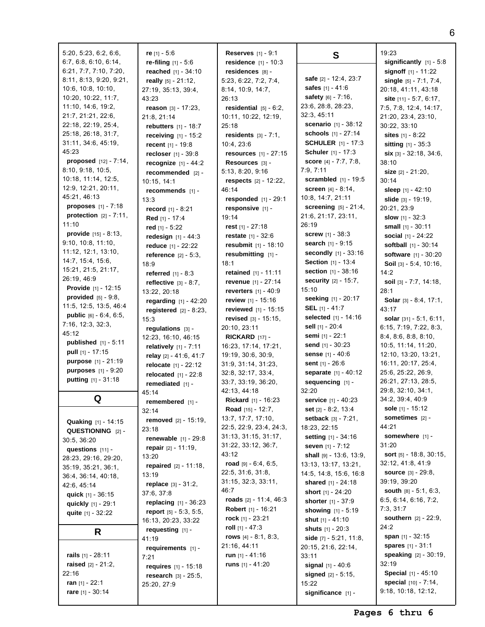| 5:20, 5:23, 6:2, 6:6,          | re $[1] - 5:6$                     | <b>Reserves</b> $[1] - 9:1$     | S                                                  | 19:23                               |
|--------------------------------|------------------------------------|---------------------------------|----------------------------------------------------|-------------------------------------|
| 6:7, 6:8, 6:10, 6:14,          | re-filing $[1] - 5.6$              | residence $[1] - 10:3$          |                                                    | significantly $[1] - 5:8$           |
| 6:21, 7:7, 7:10, 7:20,         | reached [1] - 34:10                | residences [8] -                |                                                    | <b>signoff</b> $[1] - 11:22$        |
| 8:11, 8:13, 9:20, 9:21,        | really $[5] - 21:12$ ,             | 5:23, 6:22, 7:2, 7:4,           | safe [2] - 12:4, 23:7                              | single $[5] - 7:1, 7:4,$            |
| 10:6, 10:8, 10:10,             | 27:19, 35:13, 39:4,                | 8:14, 10:9, 14:7,               | safes [1] - 41:6                                   | 20:18, 41:11, 43:18                 |
| 10:20, 10:22, 11:7,            | 43:23                              | 26:13                           | <b>safety</b> $[6] - 7:16$ ,                       | site $[11] - 5:7, 6:17,$            |
| 11:10, 14:6, 19:2,             | reason $[3] - 17:23$ ,             | residential $[5] - 6:2$ ,       | 23:6, 28:8, 28:23,                                 | 7:5, 7:8, 12:4, 14:17,              |
| 21:7, 21:21, 22:6,             | 21:8, 21:14                        | 10:11, 10:22, 12:19,            | 32:3, 45:11                                        | 21:20, 23:4, 23:10,                 |
| 22:18, 22:19, 25:4,            | rebutters [1] - 18:7               | 25:18                           | scenario [1] - 38:12                               | 30:22, 33:10                        |
| 25:18, 26:18, 31:7,            | <b>receiving</b> $[1] - 15:2$      | <b>residents</b> $[3] - 7:1$ ,  | schools [1] - 27:14                                | sites $[1] - 8:22$                  |
| 31:11, 34:6, 45:19,            | <b>recent</b> $[1] - 19:8$         | 10:4, 23:6                      | <b>SCHULER</b> [1] - 17:3                          | <b>sitting</b> $[1] - 35:3$         |
| 45:23                          | recloser $[1] - 39:8$              | <b>resources</b> $[1] - 27:15$  | <b>Schuler</b> $[1] - 17:3$                        | <b>six</b> $[3] - 32:18$ , $34:6$ , |
| proposed [12] - 7:14,          | <b>recognize</b> $[1] - 44:2$      | Resources [3] -                 | <b>score</b> $[4] - 7:7, 7:8,$                     | 38:10                               |
| 8:10, 9:18, 10:5,              |                                    | 5:13, 8:20, 9:16                | 7:9, 7:11                                          | <b>size</b> $[2] - 21:20$ ,         |
| 10:18, 11:14, 12:5,            | $recommended$ [2] -<br>10:15, 14:1 | <b>respects</b> $[2] - 12:22$ , | <b>scrambled</b> $[1] - 19:5$                      | 30:14                               |
| 12:9, 12:21, 20:11,            |                                    | 46:14                           | <b>screen</b> $[4] - 8:14$ ,                       | sleep $[1] - 42:10$                 |
| 45:21, 46:13                   | recommends [1] -                   | responded [1] - 29:1            | 10:8, 14:7, 21:11                                  | slide $[3] - 19:19$ ,               |
| <b>proposes</b> $[1] - 7:18$   | 13:3                               |                                 | <b>screening</b> $[5] - 21:4$ ,                    |                                     |
| protection $[2] - 7:11$ ,      | <b>record</b> $[1] - 8:21$         | responsive [1] -<br>19:14       | 21:6, 21:17, 23:11,                                | 20:21, 23:9                         |
| 11:10                          | Red [1] - 17:4                     |                                 | 26:19                                              | <b>slow</b> $[1] - 32:3$            |
| <b>provide</b> $[15] - 8:13$ , | red $[1] - 5:22$                   | rest $[1] - 27:18$              | <b>screw</b> $[1] - 38:3$                          | small $[1] - 30:11$                 |
| 9:10, 10:8, 11:10,             | redesign $[1] - 44:3$              | <b>restate</b> $[1] - 32:6$     |                                                    | <b>social</b> $[1] - 24:22$         |
| 11:12, 12:1, 13:10,            | reduce $[1] - 22:22$               | resubmit [1] - 18:10            | <b>search</b> $[1] - 9:15$<br>secondly [1] - 33:16 | <b>softball</b> [1] - 30:14         |
| 14:7, 15:4, 15:6,              | <b>reference</b> $[2] - 5:3$ ,     | resubmitting [1] -              |                                                    | software [1] - 30:20                |
| 15:21, 21:5, 21:17,            | 18:9                               | 18:1                            | <b>Section</b> $[1] - 13:4$                        | <b>Soil</b> $[3] - 5:4, 10:16,$     |
| 26:19, 46:9                    | <b>referred</b> $[1] - 8:3$        | retained $[1] - 11:11$          | <b>section</b> $[1] - 38:16$                       | 14:2                                |
| <b>Provide</b> $[1] - 12:15$   | reflective $[3] - 8:7$ ,           | revenue [1] - 27:14             | <b>security</b> $[2] - 15:7$ ,                     | soil $[3] - 7:7, 14:18,$            |
| <b>provided</b> $[5] - 9:8$ ,  | 13:22, 20:18                       | <b>reverters</b> $[1] - 40:9$   | 15:10                                              | 28:1                                |
| 11:5, 12:5, 13:5, 46:4         | regarding [1] - 42:20              | <b>review</b> $[1] - 15:16$     | seeking [1] - 20:17                                | <b>Solar</b> $[3] - 8:4, 17:1,$     |
| public [6] - 6:4, 6:5,         | registered $[2] - 8:23$ ,          | <b>reviewed</b> $[1] - 15:15$   | <b>SEL</b> [1] - 41:7                              | 43:17                               |
|                                | 15:3                               | <b>revised</b> $[3] - 15:15$ ,  | selected [1] - 14:16                               | solar [31] - 5:1, 6:11,             |
| 7:16, 12:3, 32:3,<br>45:12     | regulations $[3]$ -                | 20:10, 23:11                    | sell [1] - 20:4                                    | 6:15, 7:19, 7:22, 8:3,              |
| <b>published</b> $[1] - 5:11$  | 12:23, 16:10, 46:15                | $RICKARD$ [17] -                | semi [1] - 22:1                                    | 8:4, 8:6, 8:8, 8:10,                |
|                                | relatively $[1] - 7:11$            | 16:23, 17:14, 17:21,            | send $[1] - 30:23$                                 | 10:5, 11:14, 11:20,                 |
| <b>pull</b> $[1] - 17:15$      | relay [2] - 41:6, 41:7             | 19:19, 30:6, 30:9,              | <b>sense</b> $[1] - 40:6$                          | 12:10, 13:20, 13:21,                |
| purpose [1] - 21:19            | <b>relocate</b> $[1] - 22:12$      | 31:9, 31:14, 31:23,             | sent $[1] - 26:6$                                  | 16:11, 20:17, 25:4,                 |
| <b>purposes</b> $[1] - 9:20$   | relocated $[1] - 22:8$             | 32:8, 32:17, 33:4,              | separate [1] - 40:12                               | 25:6, 25:22, 26:9,                  |
| <b>putting</b> $[1] - 31:18$   | remediated $[1]$ -                 | 33:7, 33:19, 36:20,             | sequencing [1] -                                   | 26:21, 27:13, 28:5,                 |
|                                | 45:14                              | 42:13, 44:18                    | 32:20                                              | 29:8, 32:10, 34:1,                  |
| Q                              | remembered [1] -                   | Rickard [1] - 16:23             | <b>service</b> [1] - 40:23                         | 34:2, 39:4, 40:9                    |
|                                | 32:14                              | Road [15] - 12:7,               | set [2] - 8:2, 13:4                                | sole [1] - 15:12                    |
| Quaking [1] - 14:15            | <b>removed</b> $[2] - 15:19$ ,     | 13:7, 17:7, 17:10,              | <b>setback</b> $[3] - 7:21$ ,                      | sometimes $[2]$ -                   |
| QUESTIONING [2] -              | 23:18                              | 22:5, 22:9, 23:4, 24:3,         | 18:23, 22:15                                       | 44:21                               |
| 30:5, 36:20                    | <b>renewable</b> $[1] - 29:8$      | 31:13, 31:15, 31:17,            | <b>setting</b> $[1] - 34:16$                       | somewhere $[1]$ -                   |
| questions [11] -               | repair $[2] - 11:19$ ,             | 31:22, 33:12, 36:7,             | seven [1] - 7:12                                   | 31:20                               |
| 28:23, 29:16, 29:20,           | 13:20                              | 43:12                           | <b>shall</b> $[9] - 13:6, 13:9,$                   | sort [5] - 18:8, 30:15,             |
| 35:19, 35:21, 36:1,            | <b>repaired</b> $[2] - 11:18$ ,    | road $[9] - 6:4, 6:5,$          | 13:13, 13:17, 13:21,                               | 32:12, 41:8, 41:9                   |
| 36:4, 36:14, 40:18,            | 13:19                              | 22:5, 31:6, 31:8,               | 14:5, 14:8, 15:6, 16:8                             | <b>source</b> $[3] - 29:8$ ,        |
| 42:6, 45:14                    | <b>replace</b> $[3] - 31:2,$       | 31:15, 32:3, 33:11,             | shared $[1] - 24:18$                               | 39:19, 39:20                        |
| quick [1] - 36:15              | 37:6, 37:8                         | 46:7                            | <b>short</b> $[1] - 24:20$                         | south $[8] - 5:1, 6:3,$             |
| quickly [1] - 29:1             | <b>replacing</b> $[1] - 36:23$     | roads $[2] - 11:4, 46:3$        | <b>shorter</b> $[1] - 37:9$                        | 6:5, 6:14, 6:16, 7:2,               |
|                                | report [5] - 5:3, 5:5,             | <b>Robert</b> [1] - 16:21       | <b>showing</b> $[1] - 5:19$                        | 7:3, 31:7                           |
| quite $[1] - 32:22$            | 16:13, 20:23, 33:22                | rock $[1]$ - 23:21              | shut $[1] - 41:10$                                 | <b>southern</b> $[2] - 22:9$ ,      |
|                                | requesting [1] -                   | roll $[1] - 47:3$               | <b>shuts</b> $[1] - 20:3$                          | 24:2                                |
| R                              | 41:19                              | rows $[4] - 8:1, 8:3,$          | side $[7] - 5:21, 11:8,$                           | span $[1] - 32:15$                  |
|                                |                                    | 21:16, 44:11                    | 20:15, 21:6, 22:14,                                | <b>spares</b> $[1] - 31:1$          |
| rails $[1] - 28:11$            | requirements $[1]$ -               | run $[1] - 41:16$               | 33:11                                              | <b>speaking</b> $[2] - 30:19$ ,     |
| <b>raised</b> $[2] - 21:2$     | 7:21                               | runs $[1] - 41:20$              | <b>signal</b> $[1] - 40:6$                         | 32:19                               |
| 22:16                          | <b>requires</b> $[1] - 15:18$      |                                 |                                                    | Special [1] - 45:10                 |
| ran $[1] - 22:1$               | <b>research</b> $[3] - 25:5$ ,     |                                 | <b>signed</b> $[2] - 5:15$ ,                       | special [10] - 7:14,                |
| rare [1] - 30:14               | 25:20, 27:9                        |                                 | 15:22                                              | 9:18, 10:18, 12:12,                 |
|                                |                                    |                                 | significance [1] -                                 |                                     |

6  $5:8$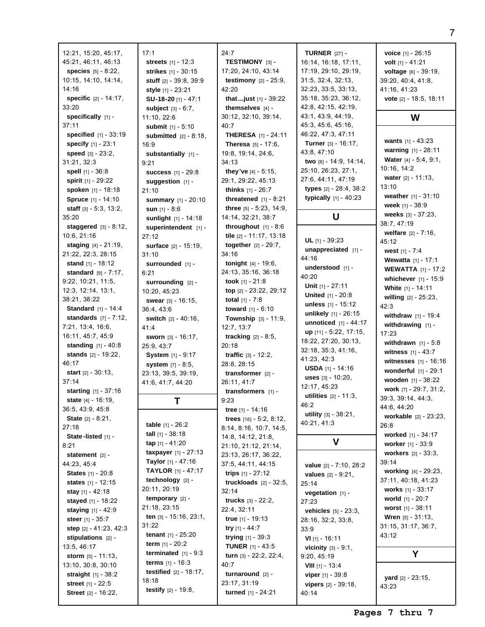| 12:21, 15:20, 45:17,                      | 17:1                                | 24:7                                       | <b>TURNER</b> $[27]$ -                                   | voice [1]            |
|-------------------------------------------|-------------------------------------|--------------------------------------------|----------------------------------------------------------|----------------------|
| 45:21, 46:11, 46:13                       | streets [1] - 12:3                  | TESTIMONY [3] -                            | 16:14, 16:18, 17:11,                                     | <b>volt</b> $[1]$ -  |
| <b>species</b> $[5] - 8:22$ ,             | strikes [1] - 30:15                 | 17:20, 24:10, 43:14                        | 17:19, 29:10, 29:19,                                     | voltage              |
| 10:15, 14:10, 14:14,                      | <b>stuff</b> $[2] - 39:8, 39:9$     | <b>testimony</b> $[2] - 25:9$              | 31:5, 32:4, 32:13,                                       | 39:20, 40            |
| 14:16                                     | style $[1]$ - 23:21                 | 42:20                                      | 32:23, 33:5, 33:13,                                      | 41:16, 41            |
| <b>specific</b> $[2] - 14:17$ ,           | SU-18-20 [1] - 47:1                 | that just $[1]$ - 39:22                    | 35:18, 35:23, 36:12,                                     | vote $[2]$ -         |
| 33:20                                     | <b>subject</b> $[3] - 6:7$ ,        | themselves $[4]$ -                         | 42:8, 42:15, 42:19,                                      |                      |
| specifically [1] -                        | 11:10, 22:6                         | 30:12, 32:10, 39:14,                       | 43:1, 43:9, 44:19,                                       |                      |
| 37:11                                     | submit [1] - 5:10                   | 40:7                                       | 45:3, 45:6, 45:16,                                       |                      |
| <b>specified</b> $[1] - 33:19$            | submitted $[2] - 8:18$ .            | <b>THERESA</b> [1] - 24:11                 | 46:22, 47:3, 47:11                                       |                      |
| specify [1] - 23:1                        | 16:9                                | <b>Theresa</b> $[5] - 17:6$ ,              | <b>Turner</b> $[3] - 16:17$ ,                            | wants $[1]$          |
| speed $[3] - 23:2$ ,                      | substantially [1] -                 | 19:8, 19:14, 24:6,                         | 43:8, 47:10                                              | warning              |
| 31:21, 32:3                               | 9:21                                | 34:13                                      | two $[8] - 14:9, 14:14,$                                 | Water $[4]$          |
| spell $[1] - 36:8$                        | <b>success</b> $[1] - 29:8$         | they've $[4] - 5:15$ ,                     | 25:10, 26:23, 27:1,                                      | 10:16, 14            |
| spirit [1] - 29:22                        | suggestion $[1]$ -                  | 29:1, 29:22, 45:13                         | 27:6, 44:11, 47:19                                       | water $[2]$<br>13:10 |
| spoken [1] - 18:18                        | 21:10                               | <b>thinks</b> $[1] - 26:7$                 | types $[2] - 28:4, 38:2$                                 | weather              |
| Spruce [1] - 14:10                        | summary [1] - 20:10                 | threatened $[1] - 8:21$                    | typically [1] - 40:23                                    | week $[1]$           |
| staff $[3] - 5:3, 13:2,$                  | <b>sun</b> $[1]$ - 8:6              | three [5] - 5:23, 14:9,                    |                                                          | weeks <b>[3</b>      |
| 35:20                                     | sunlight [1] - 14:18                | 14:14, 32:21, 38:7                         | U                                                        | 38:7,47:1            |
| staggered $[3] - 8:12$ ,                  | superintendent [1] -                | throughout $[1] - 8:6$                     |                                                          | welfare              |
| 10:6, 21:16                               | 27:12                               | tile [2] - 11:17, 13:18                    | UL $[1] - 39:23$                                         | 45:12                |
| <b>staging</b> $[4] - 21:19$ ,            | <b>surface</b> [2] - 15:19,         | <b>together</b> $[2] - 29:7$ ,<br>34:16    | unappreciated [1] -                                      | west $[1]$           |
| 21:22, 22:3, 28:15<br>stand $[1] - 18:12$ | 31:10                               | <b>tonight</b> $[4] - 19:6$ ,              | 44:16                                                    | Wewatta              |
| standard $[9] - 7:17$ ,                   | surrounded [1] -<br>6:21            | 24:13, 35:16, 36:18                        | understood $[1]$ -                                       | <b>WEWAT</b>         |
| 9:22, 10:21, 11:5,                        | surrounding [2] -                   | took $[1] - 21:8$                          | 40:20                                                    | whichev              |
| 12:3, 12:14, 13:1,                        | 10:20, 45:23                        | top $[2] - 23:22, 29:12$                   | Unit $[1] - 27:11$                                       | White [1]            |
| 38:21, 38:22                              | <b>swear</b> $[3] - 16:15$ ,        | <b>total</b> $[1] - 7:8$                   | <b>United</b> $[1] - 20:8$                               | willing [            |
| <b>Standard</b> $[1] - 14:4$              | 36:4, 43:6                          | <b>toward</b> $[1] - 6:10$                 | unless $[1] - 15:12$                                     | 42:3                 |
| <b>standards</b> $[7] - 7:12$ ,           | switch [2] - 40:16,                 | <b>Township</b> $[3] - 11:9$ ,             | unlikely $[1] - 26:15$                                   | withdray             |
| 7:21, 13:4, 16:6,                         | 41:4                                | 12:7, 13:7                                 | <b>unnoticed</b> $[1] - 44:17$                           | withdray             |
| 16:11, 45:7, 45:9                         | <b>sworn</b> $[3] - 16:17$ ,        | <b>tracking</b> $[2] - 8:5$ ,              | up [11] - 5:22, 17:15,                                   | 17:23                |
| <b>standing</b> $[1] - 40:8$              | 25:9, 43:7                          | 20:18                                      | 18:22, 27:20, 30:13,                                     | withdray             |
| stands $[2] - 19:22$ ,                    | <b>System</b> [1] - 9:17            | <b>traffic</b> $[3] - 12:2$ ,              | 32:18, 35:3, 41:16,                                      | witness              |
| 46:17                                     | system [7] - 8:5,                   | 28:8, 28:15                                | 41:23, 42:3                                              | witness              |
| <b>start</b> $[2] - 30:13$ ,              | 23:13, 39:5, 39:19,                 | transformer $[2]$ -                        | <b>USDA</b> $[1]$ - 14:16<br><b>uses</b> $[3] - 10:20$ , | wonderf              |
| 37:14                                     | 41:6, 41:7, 44:20                   | 26:11, 41:7                                | 12:17, 45:23                                             | wooden               |
| <b>starting</b> $[1] - 37:16$             |                                     | transformers [1] -                         | <b>utilities</b> $[2] - 11:3$ ,                          | work $[7]$           |
| <b>state</b> $[4] - 16:19$ ,              | Т                                   | 9:23                                       | 46:2                                                     | 39:3, 39:1           |
| 36:5, 43:9, 45:8                          |                                     | tree $[1] - 14:16$                         | utility [3] - 38:21,                                     | 44:6, 44:2           |
| <b>State</b> $[2] - 8:21$ ,               | <b>table</b> $[1] - 26:2$           | trees $[18] - 5:2, 8:12,$                  | 40:21, 41:3                                              | workabl<br>26:8      |
| 27:18                                     | <b>tall</b> $[1]$ - 38:18           | 8:14, 8:16, 10:7, 14:5,                    |                                                          | worked               |
| State-listed [1] -                        | tap $[1] - 41:20$                   | 14:8, 14:12, 21:8,                         | V                                                        | worker               |
| 8:21<br>statement [2] -                   | taxpayer $[1] - 27:13$              | 21:10, 21:12, 21:14,                       |                                                          | workers              |
| 44:23, 45:4                               | <b>Taylor</b> [1] - 47:16           | 23:13, 26:17, 36:22,<br>37:5, 44:11, 44:15 |                                                          | 39:14                |
| <b>States</b> [1] - 20:8                  | <b>TAYLOR</b> $[1] - 47:17$         | trips $[1] - 27:12$                        | value $[2] - 7:10, 28:2$                                 | working              |
| states $[1] - 12:15$                      | technology [2] -                    | truckloads $[2] - 32:5$ ,                  | <b>values</b> $[2] - 9:21$ ,                             | 37:11, 40            |
| <b>stay</b> $[1] - 42:18$                 | 20:11, 20:19                        | 32:14                                      | 25:14<br><b>vegetation</b> $[1]$ -                       | <b>works</b> [1      |
| stayed [1] - 18:22                        | temporary $[2]$ -                   | <b>trucks</b> $[3] - 22:2$ ,               | 27:23                                                    | world [1]            |
| staying $[1] - 42:9$                      | 21:18, 23:15                        | 22:4, 32:11                                | <b>vehicles</b> $[5] - 23:3$ ,                           | worst <sub>[1]</sub> |
| <b>steer</b> $[1] - 35:7$                 | <b>ten</b> [3] - $15:16$ , $23:1$ , | <b>true</b> $[1]$ - 19:13                  | 28:16, 32:2, 33:8,                                       | Wren $[5]$           |
| step [2] - 41:23, 42:3                    | 31:22                               | try [1] - 44:7                             | 33:9                                                     | 31:15, 31            |
| stipulations $[2]$ -                      | <b>tenant</b> $[1] - 25:20$         | <b>trying</b> $[1]$ - 39:3                 | <b>VI</b> [1] - 16:11                                    | 43:12                |
| 13:5, 46:17                               | term $[1] - 20:2$                   | <b>TUNER</b> $[1]$ - 43:5                  | <b>vicinity</b> $[3] - 9:1$ ,                            |                      |
| <b>storm</b> [5] - 11:13,                 | terminated $[1] - 9:3$              | turn $[3] - 22:2, 22:4,$                   | 9:20, 45:19                                              |                      |
| 13:10, 30:8, 30:10                        | <b>terms</b> $[1] - 16:3$           | 40:7                                       | <b>VIII</b> $[1]$ - 13:4                                 |                      |
| straight $[1] - 38:2$                     | <b>testified</b> $[2] - 18:17$ ,    | turnaround $[2]$ -                         | <b>viper</b> $[1] - 39:8$                                | <b>yard</b> $[2]$ -  |
| street [1] - 22:5                         | 18:18                               | 23:17, 31:19                               | <b>vipers</b> $[2] - 39:18$ ,                            | 43:23                |
| <b>Street</b> [2] - 16:22,                | <b>testify</b> $[2] - 19:8$ ,       | turned $[1] - 24:21$                       | 40:14                                                    |                      |

**voice** [1] - 26:15 **volt** [1] - 41:21 **voltage** [6] - 39:19,  $:4, 41:8,$  $:23$ **vote** [2] - 18:5, 18:11

## **W**

**wants** [1] - 43:23 **warning** [1] - 28:11 **Water** [4] - 5:4, 9:1,  $\cdot$ 2  $-11:13,$ **weather** [1] - 31:10 **weight** -  $38:9$ **weeks** [3] - 37:23, 19 **welfare** [2] - 7:16,  $-7:4$ **a** [1] - 17:1 **TA**  $[1] - 17:2$ **whichever** [1] - 15:9 **J** - **14:11 willing** [2] - 25:23, **w** [1] - 19:4 **wing** [1] **wn** [1] - 5:8 **witness** [1] - 43:7 **es** [1] - 16:16 **wonderful** [1] - 29:1 **wooden** [1] - 38:22 **work** [7] - 29:7, 31:2,  $14, 44:3,$ 20 **workable** [2] - 23:23, **worked** [1] - 34:17 **worker** [1] - 33:9 **workers** [2] - 33:3, **working** [4] - 29:23,  $:18, 41:23$ **works** [1] - 33:17 **u** - 20:7 **worst** [1] - 38:11 **Pre** 31:13,  $:17, 36:7,$ **Y yard** [2] - 23:15,

**Pages 7 thru 7**